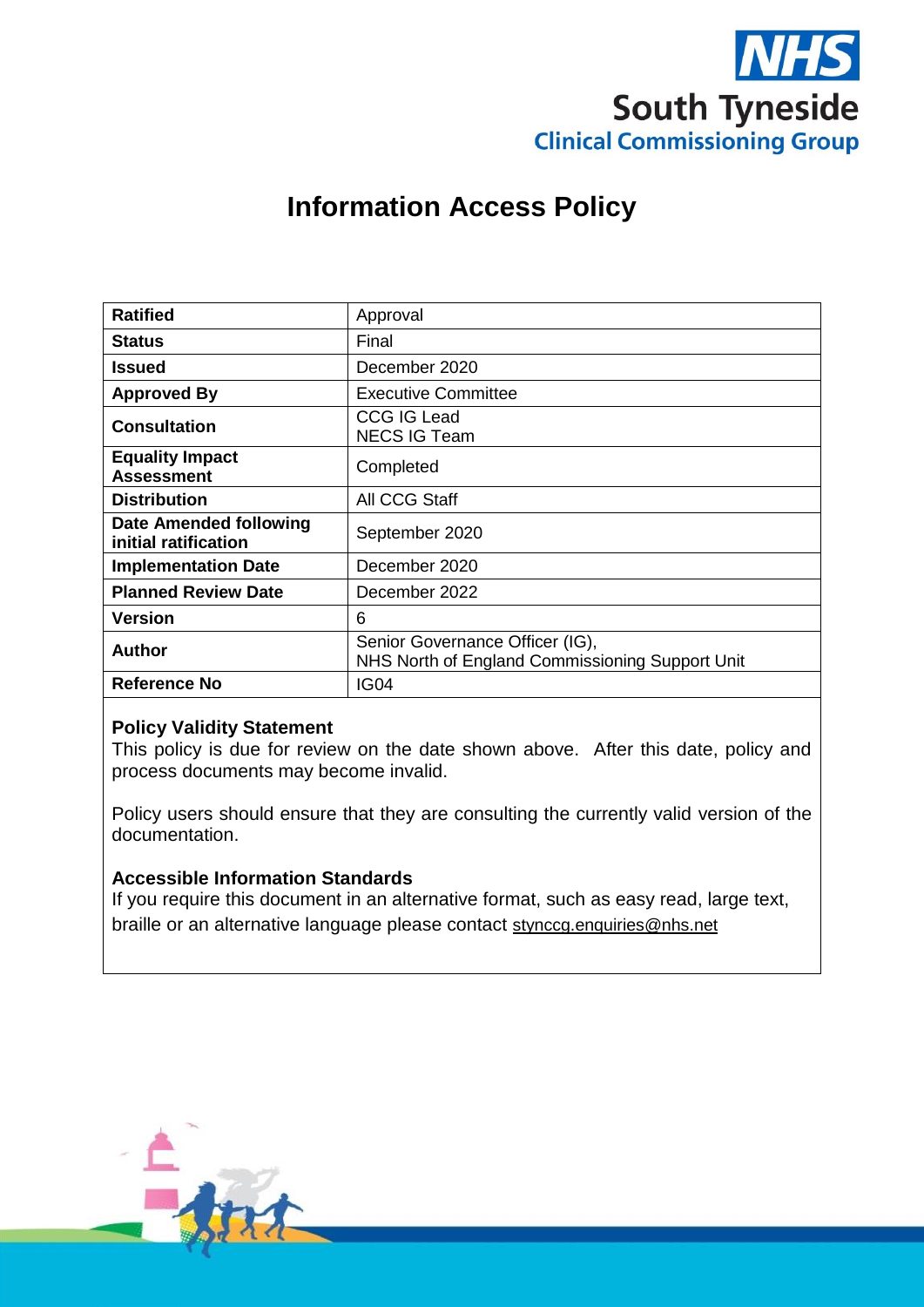

# **Information Access Policy**

| <b>Ratified</b>                                | Approval                                                                           |
|------------------------------------------------|------------------------------------------------------------------------------------|
| <b>Status</b>                                  | Final                                                                              |
| <b>Issued</b>                                  | December 2020                                                                      |
| <b>Approved By</b>                             | <b>Executive Committee</b>                                                         |
| <b>Consultation</b>                            | <b>CCG IG Lead</b><br><b>NECS IG Team</b>                                          |
| <b>Equality Impact</b><br><b>Assessment</b>    | Completed                                                                          |
| <b>Distribution</b>                            | All CCG Staff                                                                      |
| Date Amended following<br>initial ratification | September 2020                                                                     |
| <b>Implementation Date</b>                     | December 2020                                                                      |
| <b>Planned Review Date</b>                     | December 2022                                                                      |
| <b>Version</b>                                 | 6                                                                                  |
| Author                                         | Senior Governance Officer (IG),<br>NHS North of England Commissioning Support Unit |
| <b>Reference No</b>                            | <b>IG04</b>                                                                        |

#### **Policy Validity Statement**

This policy is due for review on the date shown above. After this date, policy and process documents may become invalid.

Policy users should ensure that they are consulting the currently valid version of the documentation.

#### **Accessible Information Standards**

If you require this document in an alternative format, such as easy read, large text, braille or an alternative language please contact [stynccg.enquiries@nhs.net](mailto:stynccg.enquiries@nhs.net)

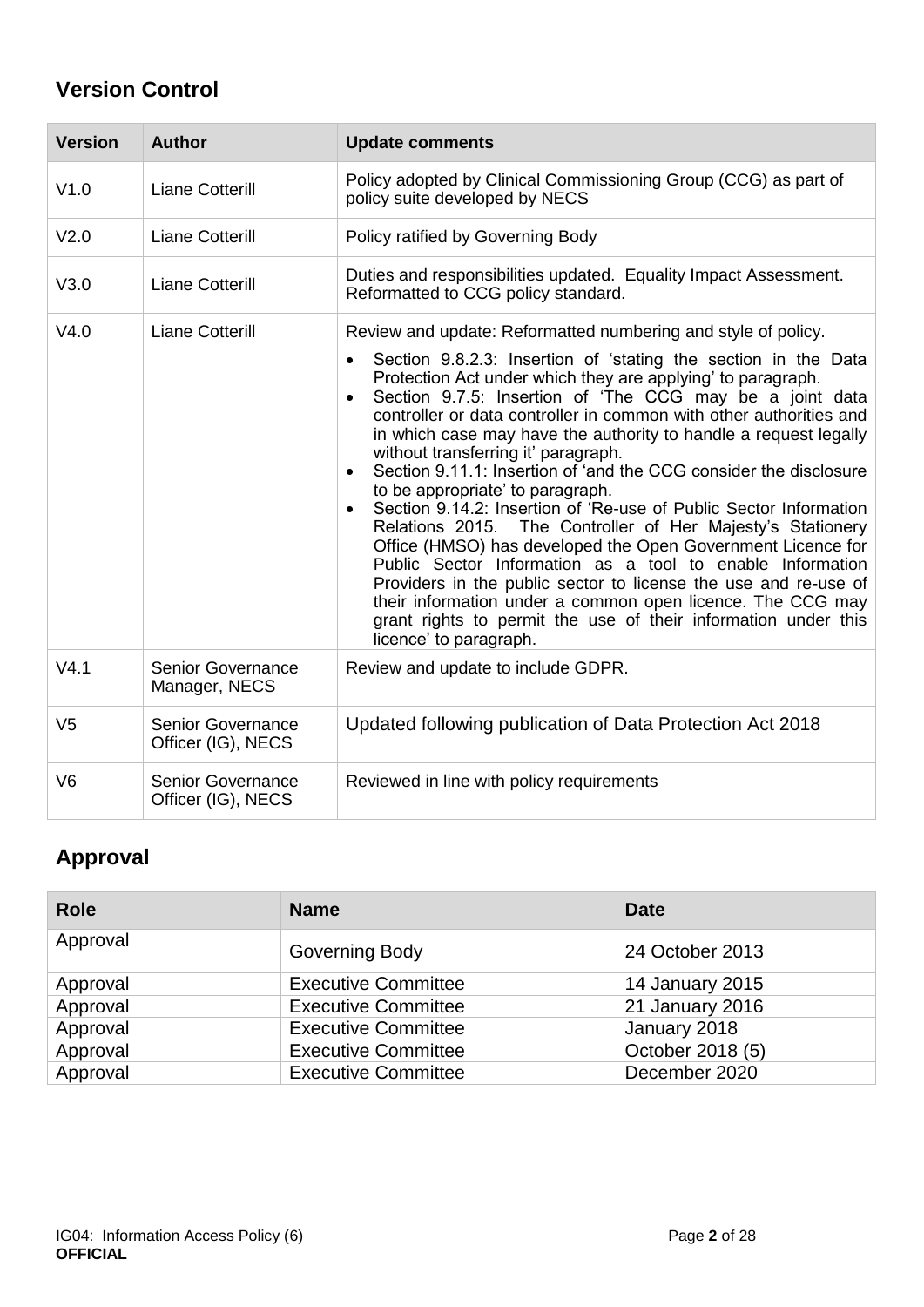## **Version Control**

| <b>Version</b>   | <b>Author</b>                                  | <b>Update comments</b>                                                                                                                                                                                                                                                                                                                                                                                                                                                                                                                                                                                                                                                                                                                                                                                                                                                                                                                                                                                                                           |
|------------------|------------------------------------------------|--------------------------------------------------------------------------------------------------------------------------------------------------------------------------------------------------------------------------------------------------------------------------------------------------------------------------------------------------------------------------------------------------------------------------------------------------------------------------------------------------------------------------------------------------------------------------------------------------------------------------------------------------------------------------------------------------------------------------------------------------------------------------------------------------------------------------------------------------------------------------------------------------------------------------------------------------------------------------------------------------------------------------------------------------|
| V1.0             | <b>Liane Cotterill</b>                         | Policy adopted by Clinical Commissioning Group (CCG) as part of<br>policy suite developed by NECS                                                                                                                                                                                                                                                                                                                                                                                                                                                                                                                                                                                                                                                                                                                                                                                                                                                                                                                                                |
| V <sub>2.0</sub> | <b>Liane Cotterill</b>                         | Policy ratified by Governing Body                                                                                                                                                                                                                                                                                                                                                                                                                                                                                                                                                                                                                                                                                                                                                                                                                                                                                                                                                                                                                |
| V3.0             | <b>Liane Cotterill</b>                         | Duties and responsibilities updated. Equality Impact Assessment.<br>Reformatted to CCG policy standard.                                                                                                                                                                                                                                                                                                                                                                                                                                                                                                                                                                                                                                                                                                                                                                                                                                                                                                                                          |
| V4.0             | <b>Liane Cotterill</b>                         | Review and update: Reformatted numbering and style of policy.<br>Section 9.8.2.3: Insertion of 'stating the section in the Data<br>Protection Act under which they are applying' to paragraph.<br>Section 9.7.5: Insertion of 'The CCG may be a joint data<br>controller or data controller in common with other authorities and<br>in which case may have the authority to handle a request legally<br>without transferring it' paragraph.<br>Section 9.11.1: Insertion of 'and the CCG consider the disclosure<br>to be appropriate' to paragraph.<br>Section 9.14.2: Insertion of 'Re-use of Public Sector Information<br>Relations 2015. The Controller of Her Majesty's Stationery<br>Office (HMSO) has developed the Open Government Licence for<br>Public Sector Information as a tool to enable Information<br>Providers in the public sector to license the use and re-use of<br>their information under a common open licence. The CCG may<br>grant rights to permit the use of their information under this<br>licence' to paragraph. |
| V4.1             | <b>Senior Governance</b><br>Manager, NECS      | Review and update to include GDPR.                                                                                                                                                                                                                                                                                                                                                                                                                                                                                                                                                                                                                                                                                                                                                                                                                                                                                                                                                                                                               |
| V <sub>5</sub>   | <b>Senior Governance</b><br>Officer (IG), NECS | Updated following publication of Data Protection Act 2018                                                                                                                                                                                                                                                                                                                                                                                                                                                                                                                                                                                                                                                                                                                                                                                                                                                                                                                                                                                        |
| V <sub>6</sub>   | <b>Senior Governance</b><br>Officer (IG), NECS | Reviewed in line with policy requirements                                                                                                                                                                                                                                                                                                                                                                                                                                                                                                                                                                                                                                                                                                                                                                                                                                                                                                                                                                                                        |

## **Approval**

| <b>Role</b> | <b>Name</b>                | <b>Date</b>      |
|-------------|----------------------------|------------------|
| Approval    | Governing Body             | 24 October 2013  |
| Approval    | <b>Executive Committee</b> | 14 January 2015  |
| Approval    | <b>Executive Committee</b> | 21 January 2016  |
| Approval    | <b>Executive Committee</b> | January 2018     |
| Approval    | <b>Executive Committee</b> | October 2018 (5) |
| Approval    | <b>Executive Committee</b> | December 2020    |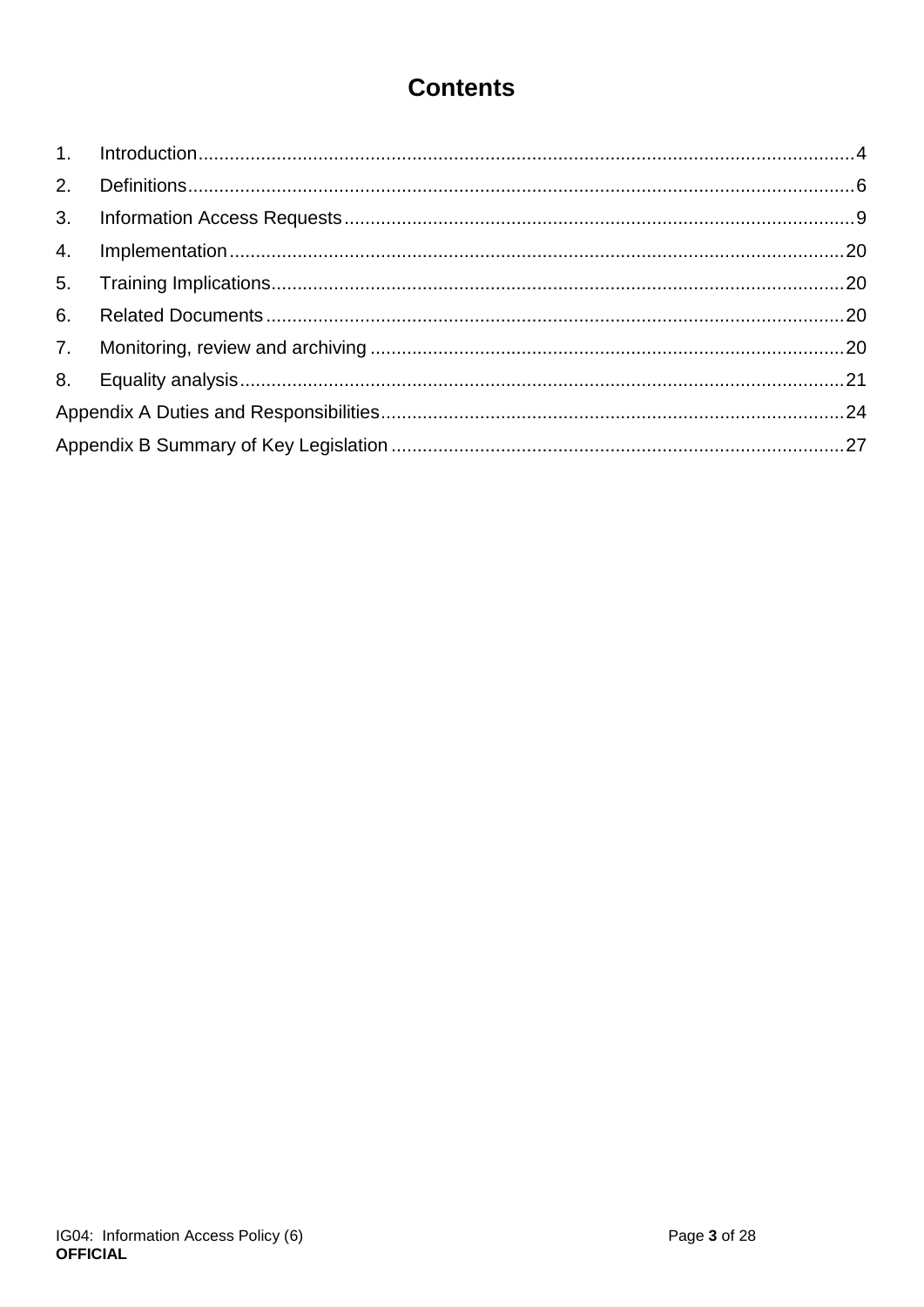# **Contents**

<span id="page-2-0"></span>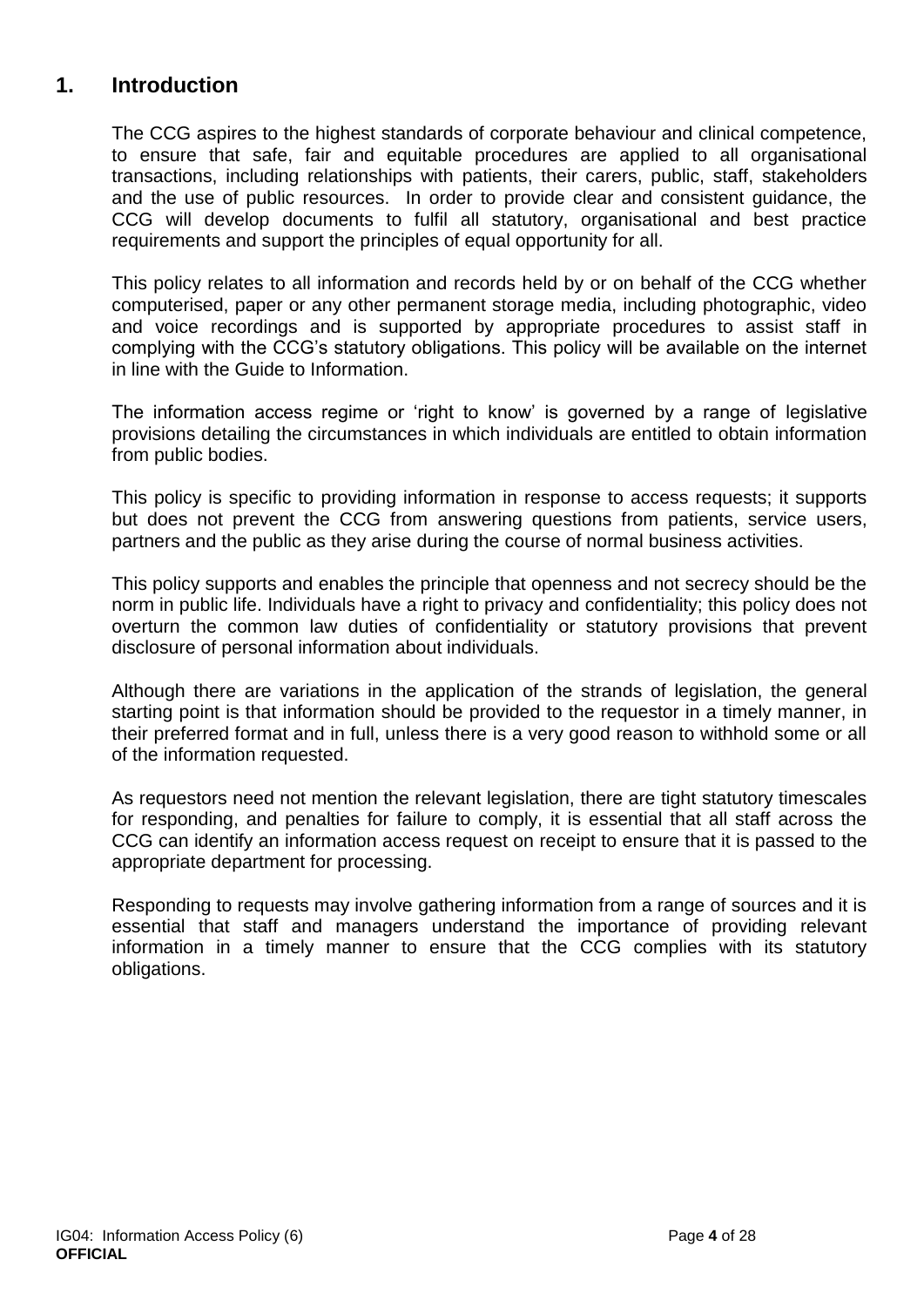### **1. Introduction**

The CCG aspires to the highest standards of corporate behaviour and clinical competence, to ensure that safe, fair and equitable procedures are applied to all organisational transactions, including relationships with patients, their carers, public, staff, stakeholders and the use of public resources. In order to provide clear and consistent guidance, the CCG will develop documents to fulfil all statutory, organisational and best practice requirements and support the principles of equal opportunity for all.

This policy relates to all information and records held by or on behalf of the CCG whether computerised, paper or any other permanent storage media, including photographic, video and voice recordings and is supported by appropriate procedures to assist staff in complying with the CCG's statutory obligations. This policy will be available on the internet in line with the Guide to Information.

The information access regime or 'right to know' is governed by a range of legislative provisions detailing the circumstances in which individuals are entitled to obtain information from public bodies.

This policy is specific to providing information in response to access requests; it supports but does not prevent the CCG from answering questions from patients, service users, partners and the public as they arise during the course of normal business activities.

This policy supports and enables the principle that openness and not secrecy should be the norm in public life. Individuals have a right to privacy and confidentiality; this policy does not overturn the common law duties of confidentiality or statutory provisions that prevent disclosure of personal information about individuals.

Although there are variations in the application of the strands of legislation, the general starting point is that information should be provided to the requestor in a timely manner, in their preferred format and in full, unless there is a very good reason to withhold some or all of the information requested.

As requestors need not mention the relevant legislation, there are tight statutory timescales for responding, and penalties for failure to comply, it is essential that all staff across the CCG can identify an information access request on receipt to ensure that it is passed to the appropriate department for processing.

Responding to requests may involve gathering information from a range of sources and it is essential that staff and managers understand the importance of providing relevant information in a timely manner to ensure that the CCG complies with its statutory obligations.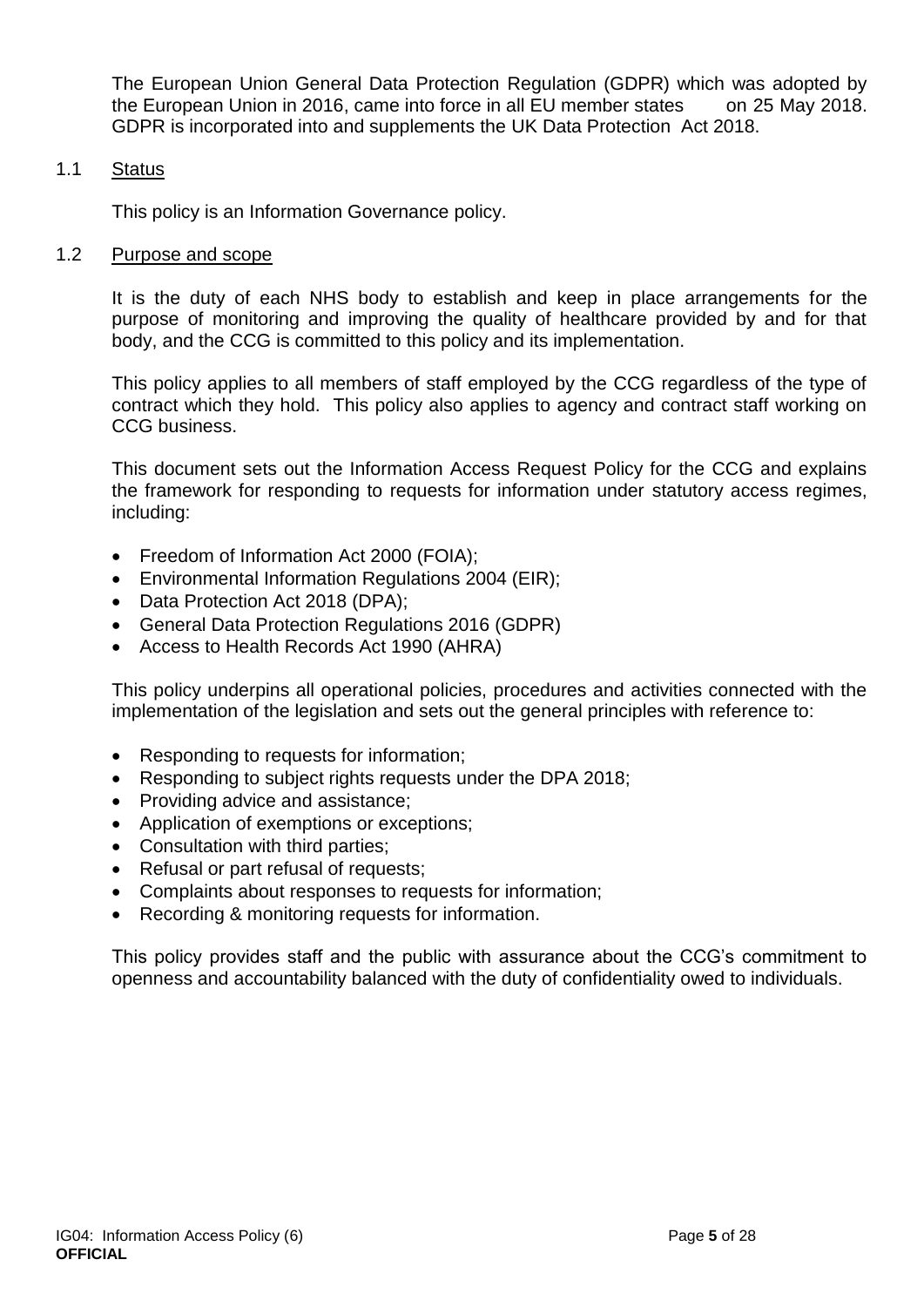The European Union General Data Protection Regulation (GDPR) which was adopted by the European Union in 2016, came into force in all EU member states on 25 May 2018. GDPR is incorporated into and supplements the UK Data Protection Act 2018.

#### 1.1 Status

This policy is an Information Governance policy.

#### 1.2 Purpose and scope

It is the duty of each NHS body to establish and keep in place arrangements for the purpose of monitoring and improving the quality of healthcare provided by and for that body, and the CCG is committed to this policy and its implementation.

This policy applies to all members of staff employed by the CCG regardless of the type of contract which they hold. This policy also applies to agency and contract staff working on CCG business.

This document sets out the Information Access Request Policy for the CCG and explains the framework for responding to requests for information under statutory access regimes, including:

- Freedom of Information Act 2000 (FOIA):
- Environmental Information Regulations 2004 (EIR);
- Data Protection Act 2018 (DPA);
- General Data Protection Regulations 2016 (GDPR)
- Access to Health Records Act 1990 (AHRA)

This policy underpins all operational policies, procedures and activities connected with the implementation of the legislation and sets out the general principles with reference to:

- Responding to requests for information;
- Responding to subject rights requests under the DPA 2018;
- Providing advice and assistance:
- Application of exemptions or exceptions;
- Consultation with third parties;
- Refusal or part refusal of requests;
- Complaints about responses to requests for information;
- Recording & monitoring requests for information.

<span id="page-4-0"></span>This policy provides staff and the public with assurance about the CCG's commitment to openness and accountability balanced with the duty of confidentiality owed to individuals.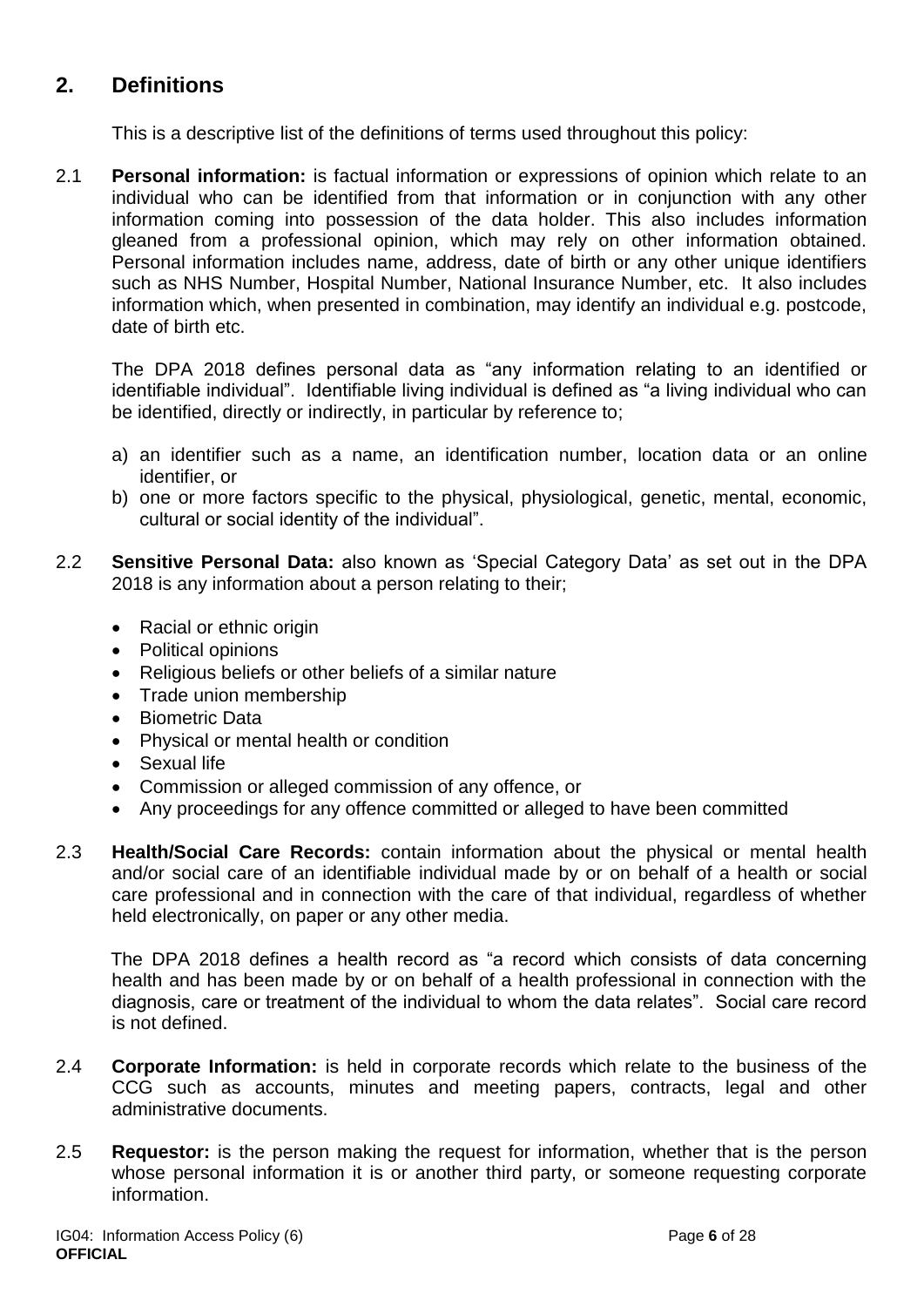### **2. Definitions**

This is a descriptive list of the definitions of terms used throughout this policy:

2.1 **Personal information:** is factual information or expressions of opinion which relate to an individual who can be identified from that information or in conjunction with any other information coming into possession of the data holder. This also includes information gleaned from a professional opinion, which may rely on other information obtained. Personal information includes name, address, date of birth or any other unique identifiers such as NHS Number, Hospital Number, National Insurance Number, etc. It also includes information which, when presented in combination, may identify an individual e.g. postcode, date of birth etc.

The DPA 2018 defines personal data as "any information relating to an identified or identifiable individual". Identifiable living individual is defined as "a living individual who can be identified, directly or indirectly, in particular by reference to;

- a) an identifier such as a name, an identification number, location data or an online identifier, or
- b) one or more factors specific to the physical, physiological, genetic, mental, economic, cultural or social identity of the individual".
- 2.2 **Sensitive Personal Data:** also known as 'Special Category Data' as set out in the DPA 2018 is any information about a person relating to their;
	- Racial or ethnic origin
	- Political opinions
	- Religious beliefs or other beliefs of a similar nature
	- Trade union membership
	- Biometric Data
	- Physical or mental health or condition
	- Sexual life
	- Commission or alleged commission of any offence, or
	- Any proceedings for any offence committed or alleged to have been committed
- 2.3 **Health/Social Care Records:** contain information about the physical or mental health and/or social care of an identifiable individual made by or on behalf of a health or social care professional and in connection with the care of that individual, regardless of whether held electronically, on paper or any other media.

The DPA 2018 defines a health record as "a record which consists of data concerning health and has been made by or on behalf of a health professional in connection with the diagnosis, care or treatment of the individual to whom the data relates". Social care record is not defined.

- 2.4 **Corporate Information:** is held in corporate records which relate to the business of the CCG such as accounts, minutes and meeting papers, contracts, legal and other administrative documents.
- 2.5 **Requestor:** is the person making the request for information, whether that is the person whose personal information it is or another third party, or someone requesting corporate information.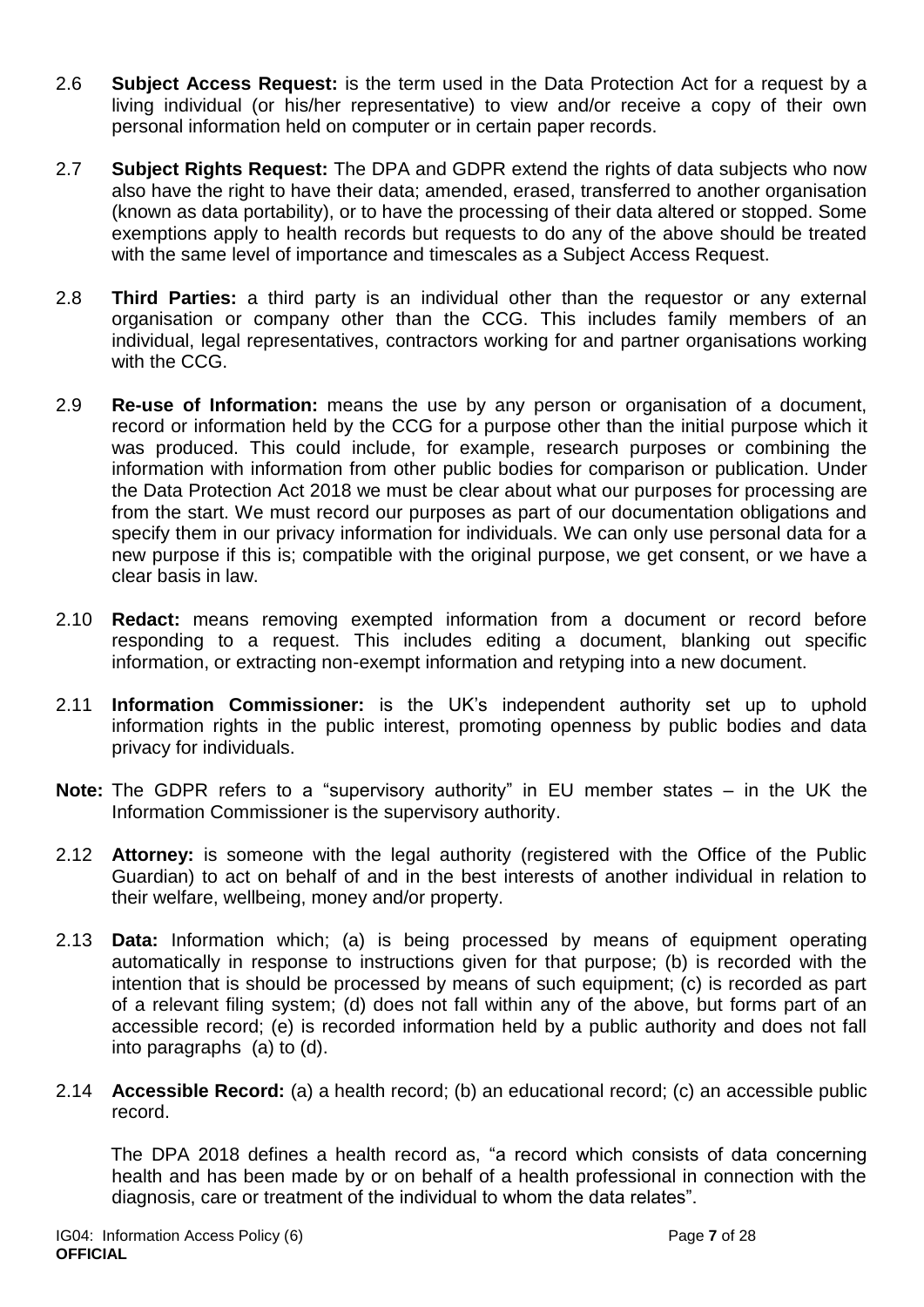- 2.6 **Subject Access Request:** is the term used in the Data Protection Act for a request by a living individual (or his/her representative) to view and/or receive a copy of their own personal information held on computer or in certain paper records.
- 2.7 **Subject Rights Request:** The DPA and GDPR extend the rights of data subjects who now also have the right to have their data; amended, erased, transferred to another organisation (known as data portability), or to have the processing of their data altered or stopped. Some exemptions apply to health records but requests to do any of the above should be treated with the same level of importance and timescales as a Subject Access Request.
- 2.8 **Third Parties:** a third party is an individual other than the requestor or any external organisation or company other than the CCG. This includes family members of an individual, legal representatives, contractors working for and partner organisations working with the CCG.
- 2.9 **Re-use of Information:** means the use by any person or organisation of a document, record or information held by the CCG for a purpose other than the initial purpose which it was produced. This could include, for example, research purposes or combining the information with information from other public bodies for comparison or publication. Under the Data Protection Act 2018 we must be clear about what our purposes for processing are from the start. We must record our purposes as part of our documentation obligations and specify them in our privacy information for individuals. We can only use personal data for a new purpose if this is; compatible with the original purpose, we get consent, or we have a clear basis in law.
- 2.10 **Redact:** means removing exempted information from a document or record before responding to a request. This includes editing a document, blanking out specific information, or extracting non-exempt information and retyping into a new document.
- 2.11 **Information Commissioner:** is the UK's independent authority set up to uphold information rights in the public interest, promoting openness by public bodies and data privacy for individuals.
- **Note:** The GDPR refers to a "supervisory authority" in EU member states in the UK the Information Commissioner is the supervisory authority.
- 2.12 **Attorney:** is someone with the legal authority (registered with the Office of the Public Guardian) to act on behalf of and in the best interests of another individual in relation to their welfare, wellbeing, money and/or property.
- 2.13 **Data:** Information which; (a) is being processed by means of equipment operating automatically in response to instructions given for that purpose; (b) is recorded with the intention that is should be processed by means of such equipment; (c) is recorded as part of a relevant filing system; (d) does not fall within any of the above, but forms part of an accessible record; (e) is recorded information held by a public authority and does not fall into paragraphs (a) to (d).
- 2.14 **Accessible Record:** (a) a health record; (b) an educational record; (c) an accessible public record.

The DPA 2018 defines a health record as, "a record which consists of data concerning health and has been made by or on behalf of a health professional in connection with the diagnosis, care or treatment of the individual to whom the data relates".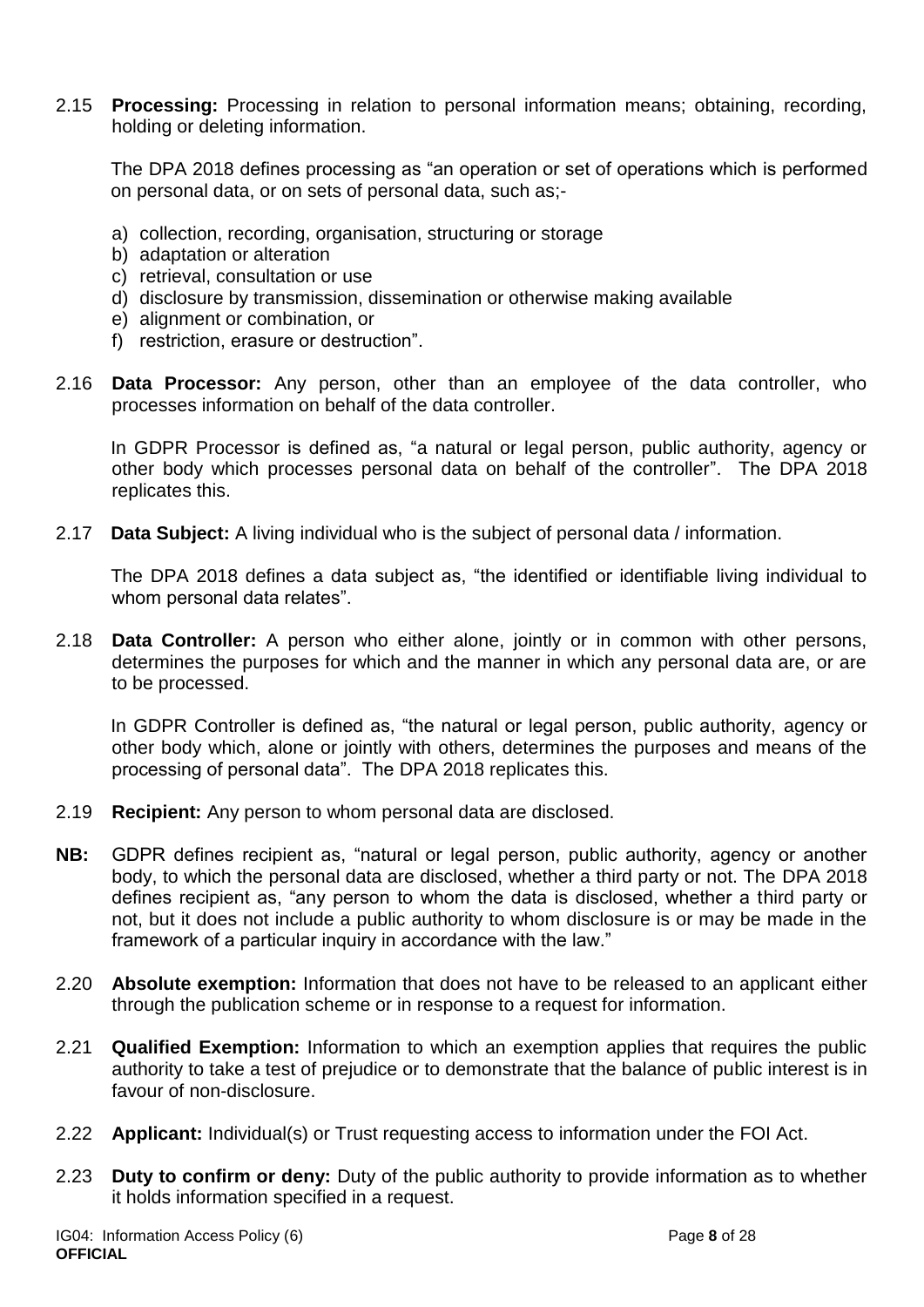2.15 **Processing:** Processing in relation to personal information means; obtaining, recording, holding or deleting information.

The DPA 2018 defines processing as "an operation or set of operations which is performed on personal data, or on sets of personal data, such as;-

- a) collection, recording, organisation, structuring or storage
- b) adaptation or alteration
- c) retrieval, consultation or use
- d) disclosure by transmission, dissemination or otherwise making available
- e) alignment or combination, or
- f) restriction, erasure or destruction".
- 2.16 **Data Processor:** Any person, other than an employee of the data controller, who processes information on behalf of the data controller.

In GDPR Processor is defined as, "a natural or legal person, public authority, agency or other body which processes personal data on behalf of the controller". The DPA 2018 replicates this.

2.17 **Data Subject:** A living individual who is the subject of personal data / information.

The DPA 2018 defines a data subject as, "the identified or identifiable living individual to whom personal data relates".

2.18 **Data Controller:** A person who either alone, jointly or in common with other persons, determines the purposes for which and the manner in which any personal data are, or are to be processed.

In GDPR Controller is defined as, "the natural or legal person, public authority, agency or other body which, alone or jointly with others, determines the purposes and means of the processing of personal data". The DPA 2018 replicates this.

- 2.19 **Recipient:** Any person to whom personal data are disclosed.
- **NB:** GDPR defines recipient as, "natural or legal person, public authority, agency or another body, to which the personal data are disclosed, whether a third party or not. The DPA 2018 defines recipient as, "any person to whom the data is disclosed, whether a third party or not, but it does not include a public authority to whom disclosure is or may be made in the framework of a particular inquiry in accordance with the law."
- 2.20 **Absolute exemption:** Information that does not have to be released to an applicant either through the publication scheme or in response to a request for information.
- 2.21 **Qualified Exemption:** Information to which an exemption applies that requires the public authority to take a test of prejudice or to demonstrate that the balance of public interest is in favour of non-disclosure.
- 2.22 **Applicant:** Individual(s) or Trust requesting access to information under the FOI Act.
- 2.23 **Duty to confirm or deny:** Duty of the public authority to provide information as to whether it holds information specified in a request.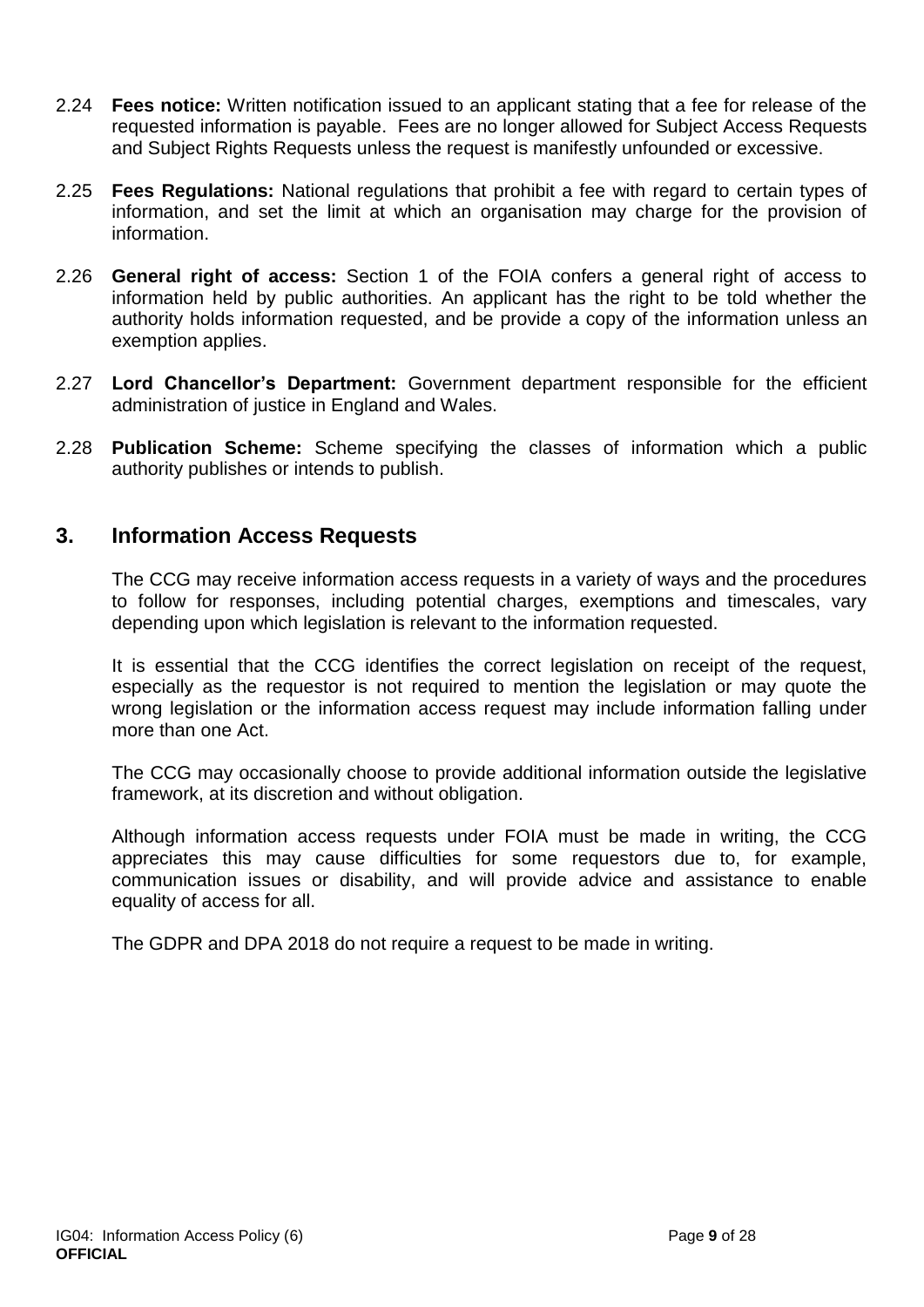- 2.24 **Fees notice:** Written notification issued to an applicant stating that a fee for release of the requested information is payable. Fees are no longer allowed for Subject Access Requests and Subject Rights Requests unless the request is manifestly unfounded or excessive.
- 2.25 **Fees Regulations:** National regulations that prohibit a fee with regard to certain types of information, and set the limit at which an organisation may charge for the provision of information.
- 2.26 **General right of access:** Section 1 of the FOIA confers a general right of access to information held by public authorities. An applicant has the right to be told whether the authority holds information requested, and be provide a copy of the information unless an exemption applies.
- 2.27 **Lord Chancellor's Department:** Government department responsible for the efficient administration of justice in England and Wales.
- 2.28 **Publication Scheme:** Scheme specifying the classes of information which a public authority publishes or intends to publish.

### <span id="page-8-0"></span>**3. Information Access Requests**

The CCG may receive information access requests in a variety of ways and the procedures to follow for responses, including potential charges, exemptions and timescales, vary depending upon which legislation is relevant to the information requested.

It is essential that the CCG identifies the correct legislation on receipt of the request, especially as the requestor is not required to mention the legislation or may quote the wrong legislation or the information access request may include information falling under more than one Act.

The CCG may occasionally choose to provide additional information outside the legislative framework, at its discretion and without obligation.

Although information access requests under FOIA must be made in writing, the CCG appreciates this may cause difficulties for some requestors due to, for example, communication issues or disability, and will provide advice and assistance to enable equality of access for all.

The GDPR and DPA 2018 do not require a request to be made in writing.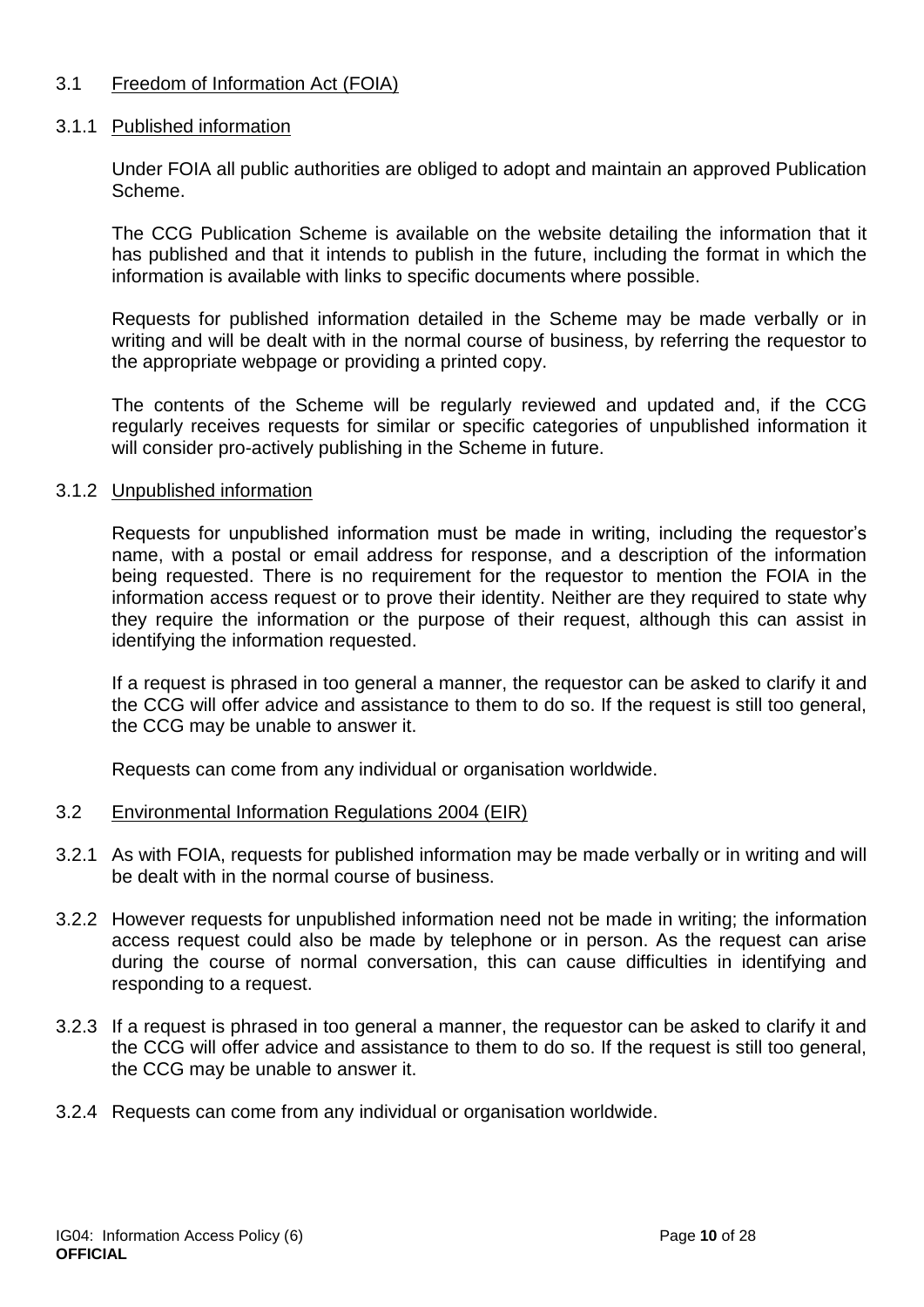#### 3.1 Freedom of Information Act (FOIA)

#### 3.1.1 Published information

Under FOIA all public authorities are obliged to adopt and maintain an approved Publication Scheme.

The CCG Publication Scheme is available on the website detailing the information that it has published and that it intends to publish in the future, including the format in which the information is available with links to specific documents where possible.

Requests for published information detailed in the Scheme may be made verbally or in writing and will be dealt with in the normal course of business, by referring the requestor to the appropriate webpage or providing a printed copy.

The contents of the Scheme will be regularly reviewed and updated and, if the CCG regularly receives requests for similar or specific categories of unpublished information it will consider pro-actively publishing in the Scheme in future.

#### 3.1.2 Unpublished information

Requests for unpublished information must be made in writing, including the requestor's name, with a postal or email address for response, and a description of the information being requested. There is no requirement for the requestor to mention the FOIA in the information access request or to prove their identity. Neither are they required to state why they require the information or the purpose of their request, although this can assist in identifying the information requested.

If a request is phrased in too general a manner, the requestor can be asked to clarify it and the CCG will offer advice and assistance to them to do so. If the request is still too general, the CCG may be unable to answer it.

Requests can come from any individual or organisation worldwide.

#### 3.2 Environmental Information Regulations 2004 (EIR)

- 3.2.1 As with FOIA, requests for published information may be made verbally or in writing and will be dealt with in the normal course of business.
- 3.2.2 However requests for unpublished information need not be made in writing; the information access request could also be made by telephone or in person. As the request can arise during the course of normal conversation, this can cause difficulties in identifying and responding to a request.
- 3.2.3 If a request is phrased in too general a manner, the requestor can be asked to clarify it and the CCG will offer advice and assistance to them to do so. If the request is still too general, the CCG may be unable to answer it.
- 3.2.4 Requests can come from any individual or organisation worldwide.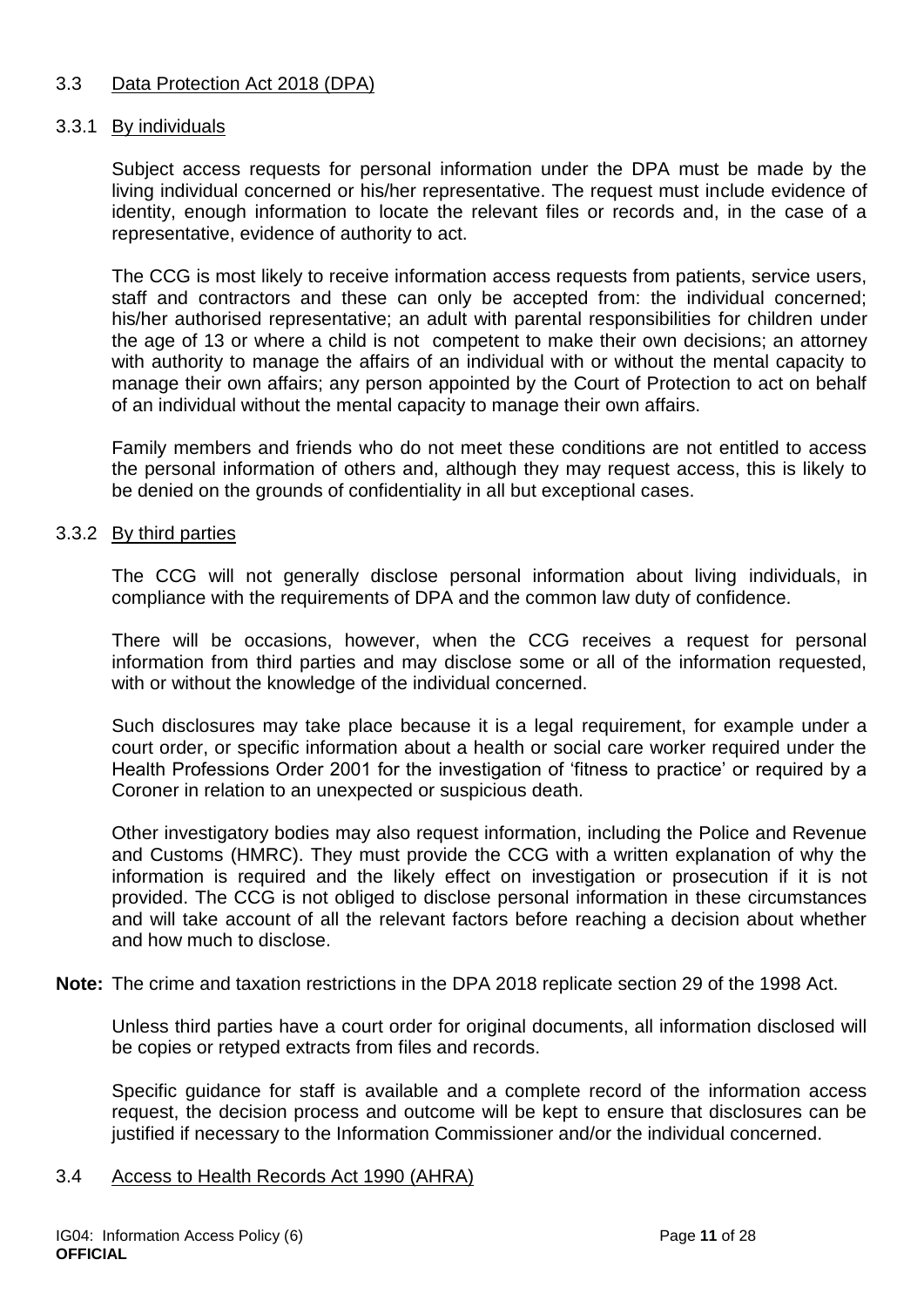#### 3.3 Data Protection Act 2018 (DPA)

#### 3.3.1 By individuals

Subject access requests for personal information under the DPA must be made by the living individual concerned or his/her representative. The request must include evidence of identity, enough information to locate the relevant files or records and, in the case of a representative, evidence of authority to act.

The CCG is most likely to receive information access requests from patients, service users, staff and contractors and these can only be accepted from: the individual concerned; his/her authorised representative; an adult with parental responsibilities for children under the age of 13 or where a child is not competent to make their own decisions; an attorney with authority to manage the affairs of an individual with or without the mental capacity to manage their own affairs; any person appointed by the Court of Protection to act on behalf of an individual without the mental capacity to manage their own affairs.

Family members and friends who do not meet these conditions are not entitled to access the personal information of others and, although they may request access, this is likely to be denied on the grounds of confidentiality in all but exceptional cases.

#### 3.3.2 By third parties

The CCG will not generally disclose personal information about living individuals, in compliance with the requirements of DPA and the common law duty of confidence.

There will be occasions, however, when the CCG receives a request for personal information from third parties and may disclose some or all of the information requested, with or without the knowledge of the individual concerned.

Such disclosures may take place because it is a legal requirement, for example under a court order, or specific information about a health or social care worker required under the Health Professions Order 2001 for the investigation of 'fitness to practice' or required by a Coroner in relation to an unexpected or suspicious death.

Other investigatory bodies may also request information, including the Police and Revenue and Customs (HMRC). They must provide the CCG with a written explanation of why the information is required and the likely effect on investigation or prosecution if it is not provided. The CCG is not obliged to disclose personal information in these circumstances and will take account of all the relevant factors before reaching a decision about whether and how much to disclose.

**Note:** The crime and taxation restrictions in the DPA 2018 replicate section 29 of the 1998 Act.

Unless third parties have a court order for original documents, all information disclosed will be copies or retyped extracts from files and records.

Specific guidance for staff is available and a complete record of the information access request, the decision process and outcome will be kept to ensure that disclosures can be justified if necessary to the Information Commissioner and/or the individual concerned.

#### 3.4 Access to Health Records Act 1990 (AHRA)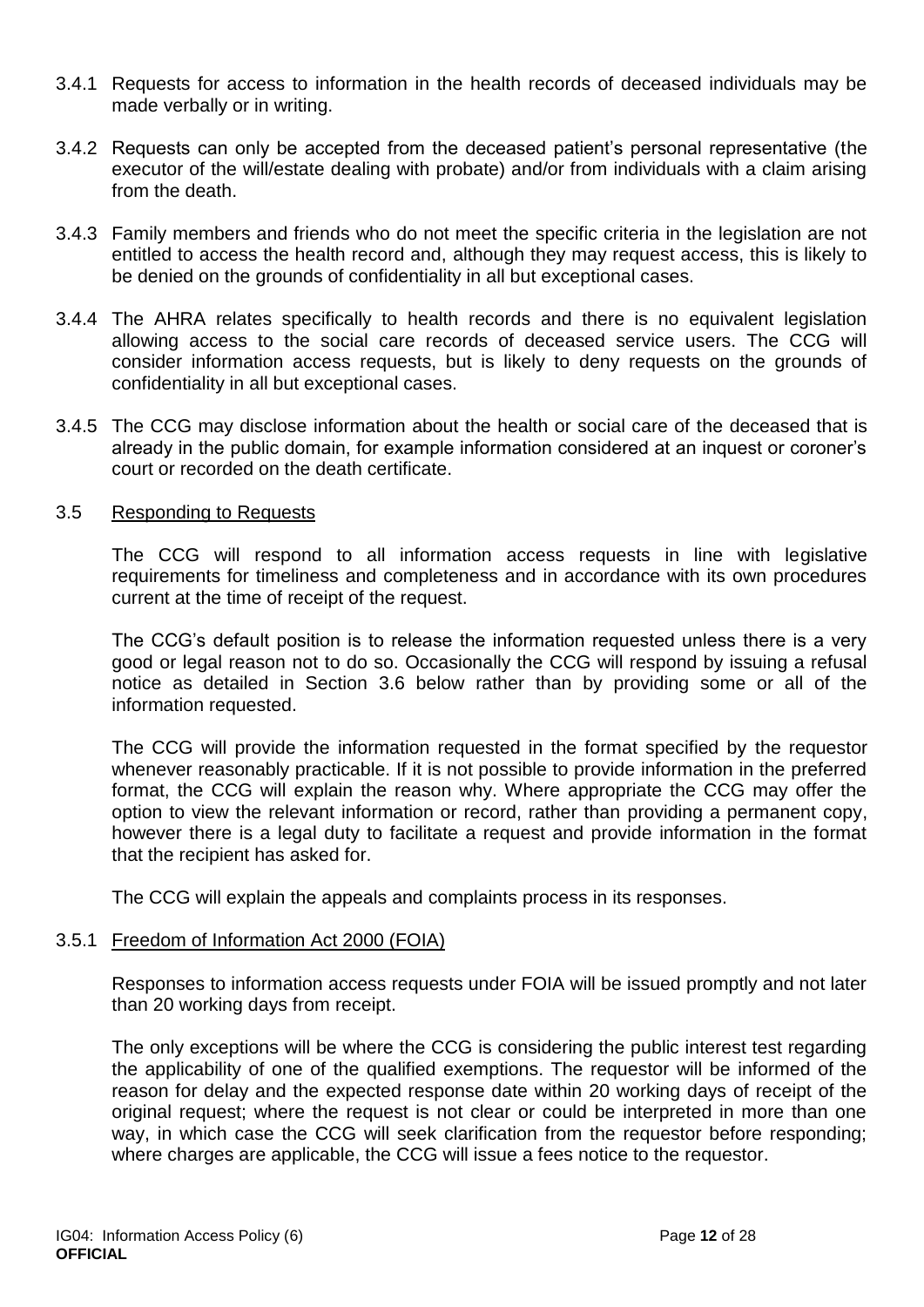- 3.4.1 Requests for access to information in the health records of deceased individuals may be made verbally or in writing.
- 3.4.2 Requests can only be accepted from the deceased patient's personal representative (the executor of the will/estate dealing with probate) and/or from individuals with a claim arising from the death.
- 3.4.3 Family members and friends who do not meet the specific criteria in the legislation are not entitled to access the health record and, although they may request access, this is likely to be denied on the grounds of confidentiality in all but exceptional cases.
- 3.4.4 The AHRA relates specifically to health records and there is no equivalent legislation allowing access to the social care records of deceased service users. The CCG will consider information access requests, but is likely to deny requests on the grounds of confidentiality in all but exceptional cases.
- 3.4.5 The CCG may disclose information about the health or social care of the deceased that is already in the public domain, for example information considered at an inquest or coroner's court or recorded on the death certificate.

#### 3.5 Responding to Requests

The CCG will respond to all information access requests in line with legislative requirements for timeliness and completeness and in accordance with its own procedures current at the time of receipt of the request.

The CCG's default position is to release the information requested unless there is a very good or legal reason not to do so. Occasionally the CCG will respond by issuing a refusal notice as detailed in Section 3.6 below rather than by providing some or all of the information requested.

The CCG will provide the information requested in the format specified by the requestor whenever reasonably practicable. If it is not possible to provide information in the preferred format, the CCG will explain the reason why. Where appropriate the CCG may offer the option to view the relevant information or record, rather than providing a permanent copy, however there is a legal duty to facilitate a request and provide information in the format that the recipient has asked for.

The CCG will explain the appeals and complaints process in its responses.

#### 3.5.1 Freedom of Information Act 2000 (FOIA)

Responses to information access requests under FOIA will be issued promptly and not later than 20 working days from receipt.

The only exceptions will be where the CCG is considering the public interest test regarding the applicability of one of the qualified exemptions. The requestor will be informed of the reason for delay and the expected response date within 20 working days of receipt of the original request; where the request is not clear or could be interpreted in more than one way, in which case the CCG will seek clarification from the requestor before responding; where charges are applicable, the CCG will issue a fees notice to the requestor.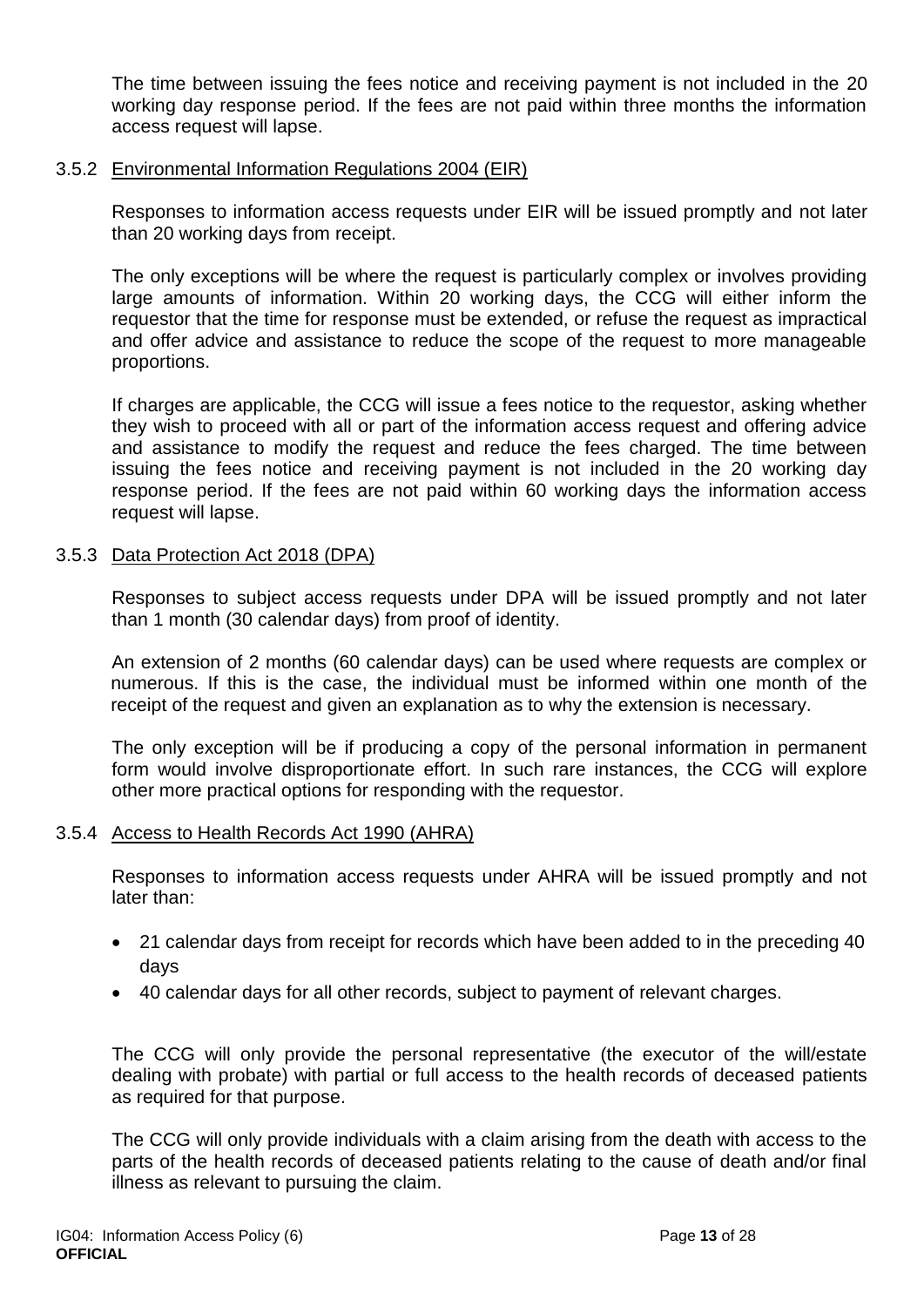The time between issuing the fees notice and receiving payment is not included in the 20 working day response period. If the fees are not paid within three months the information access request will lapse.

#### 3.5.2 Environmental Information Regulations 2004 (EIR)

Responses to information access requests under EIR will be issued promptly and not later than 20 working days from receipt.

The only exceptions will be where the request is particularly complex or involves providing large amounts of information. Within 20 working days, the CCG will either inform the requestor that the time for response must be extended, or refuse the request as impractical and offer advice and assistance to reduce the scope of the request to more manageable proportions.

If charges are applicable, the CCG will issue a fees notice to the requestor, asking whether they wish to proceed with all or part of the information access request and offering advice and assistance to modify the request and reduce the fees charged. The time between issuing the fees notice and receiving payment is not included in the 20 working day response period. If the fees are not paid within 60 working days the information access request will lapse.

#### 3.5.3 Data Protection Act 2018 (DPA)

Responses to subject access requests under DPA will be issued promptly and not later than 1 month (30 calendar days) from proof of identity.

An extension of 2 months (60 calendar days) can be used where requests are complex or numerous. If this is the case, the individual must be informed within one month of the receipt of the request and given an explanation as to why the extension is necessary.

The only exception will be if producing a copy of the personal information in permanent form would involve disproportionate effort. In such rare instances, the CCG will explore other more practical options for responding with the requestor.

#### 3.5.4 Access to Health Records Act 1990 (AHRA)

Responses to information access requests under AHRA will be issued promptly and not later than:

- 21 calendar days from receipt for records which have been added to in the preceding 40 days
- 40 calendar days for all other records, subject to payment of relevant charges.

The CCG will only provide the personal representative (the executor of the will/estate dealing with probate) with partial or full access to the health records of deceased patients as required for that purpose.

The CCG will only provide individuals with a claim arising from the death with access to the parts of the health records of deceased patients relating to the cause of death and/or final illness as relevant to pursuing the claim.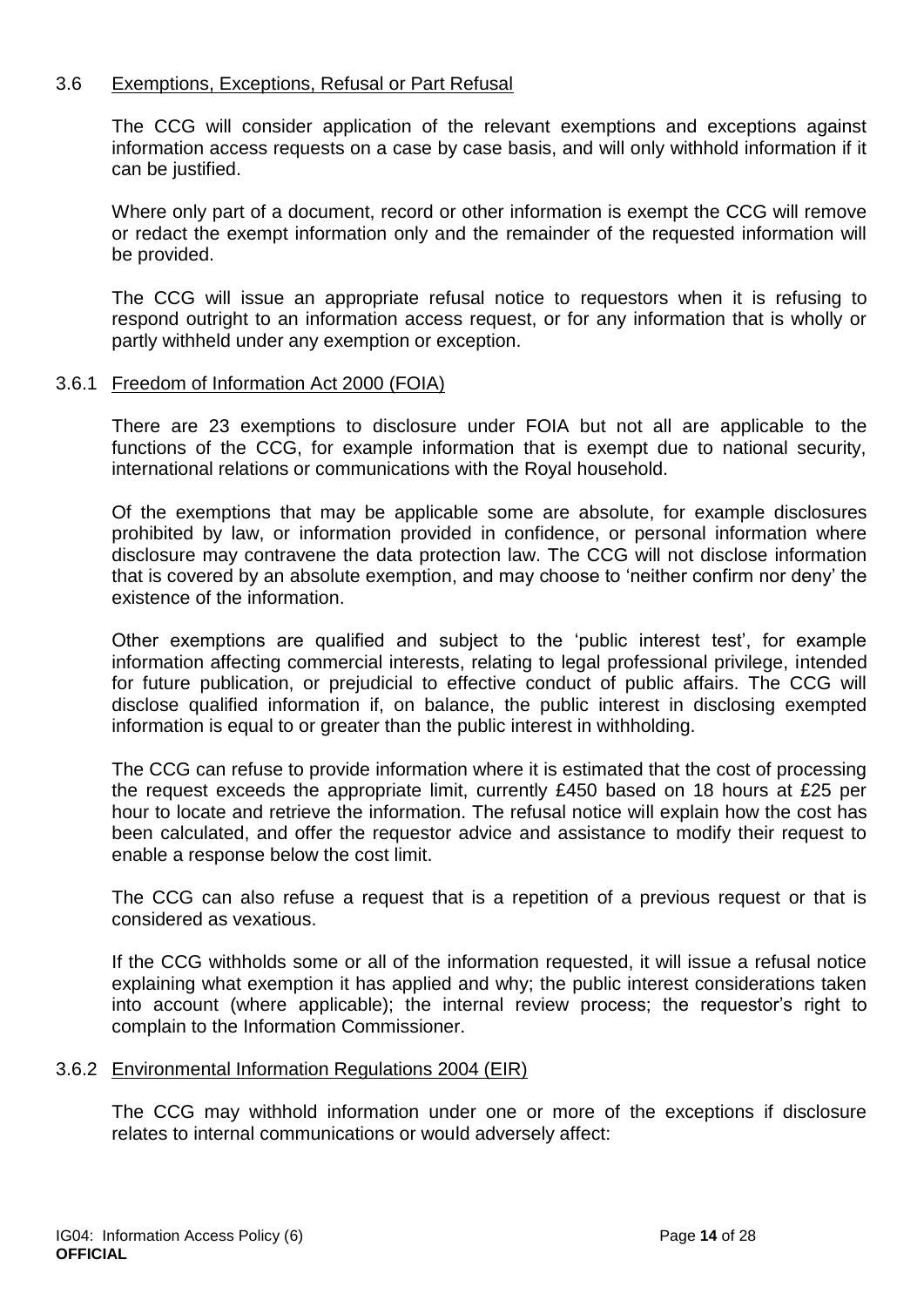#### 3.6 Exemptions, Exceptions, Refusal or Part Refusal

The CCG will consider application of the relevant exemptions and exceptions against information access requests on a case by case basis, and will only withhold information if it can be justified.

Where only part of a document, record or other information is exempt the CCG will remove or redact the exempt information only and the remainder of the requested information will be provided.

The CCG will issue an appropriate refusal notice to requestors when it is refusing to respond outright to an information access request, or for any information that is wholly or partly withheld under any exemption or exception.

#### 3.6.1 Freedom of Information Act 2000 (FOIA)

There are 23 exemptions to disclosure under FOIA but not all are applicable to the functions of the CCG, for example information that is exempt due to national security, international relations or communications with the Royal household.

Of the exemptions that may be applicable some are absolute, for example disclosures prohibited by law, or information provided in confidence, or personal information where disclosure may contravene the data protection law. The CCG will not disclose information that is covered by an absolute exemption, and may choose to 'neither confirm nor deny' the existence of the information.

Other exemptions are qualified and subject to the 'public interest test', for example information affecting commercial interests, relating to legal professional privilege, intended for future publication, or prejudicial to effective conduct of public affairs. The CCG will disclose qualified information if, on balance, the public interest in disclosing exempted information is equal to or greater than the public interest in withholding.

The CCG can refuse to provide information where it is estimated that the cost of processing the request exceeds the appropriate limit, currently £450 based on 18 hours at £25 per hour to locate and retrieve the information. The refusal notice will explain how the cost has been calculated, and offer the requestor advice and assistance to modify their request to enable a response below the cost limit.

The CCG can also refuse a request that is a repetition of a previous request or that is considered as vexatious.

If the CCG withholds some or all of the information requested, it will issue a refusal notice explaining what exemption it has applied and why; the public interest considerations taken into account (where applicable); the internal review process; the requestor's right to complain to the Information Commissioner.

#### 3.6.2 Environmental Information Regulations 2004 (EIR)

The CCG may withhold information under one or more of the exceptions if disclosure relates to internal communications or would adversely affect: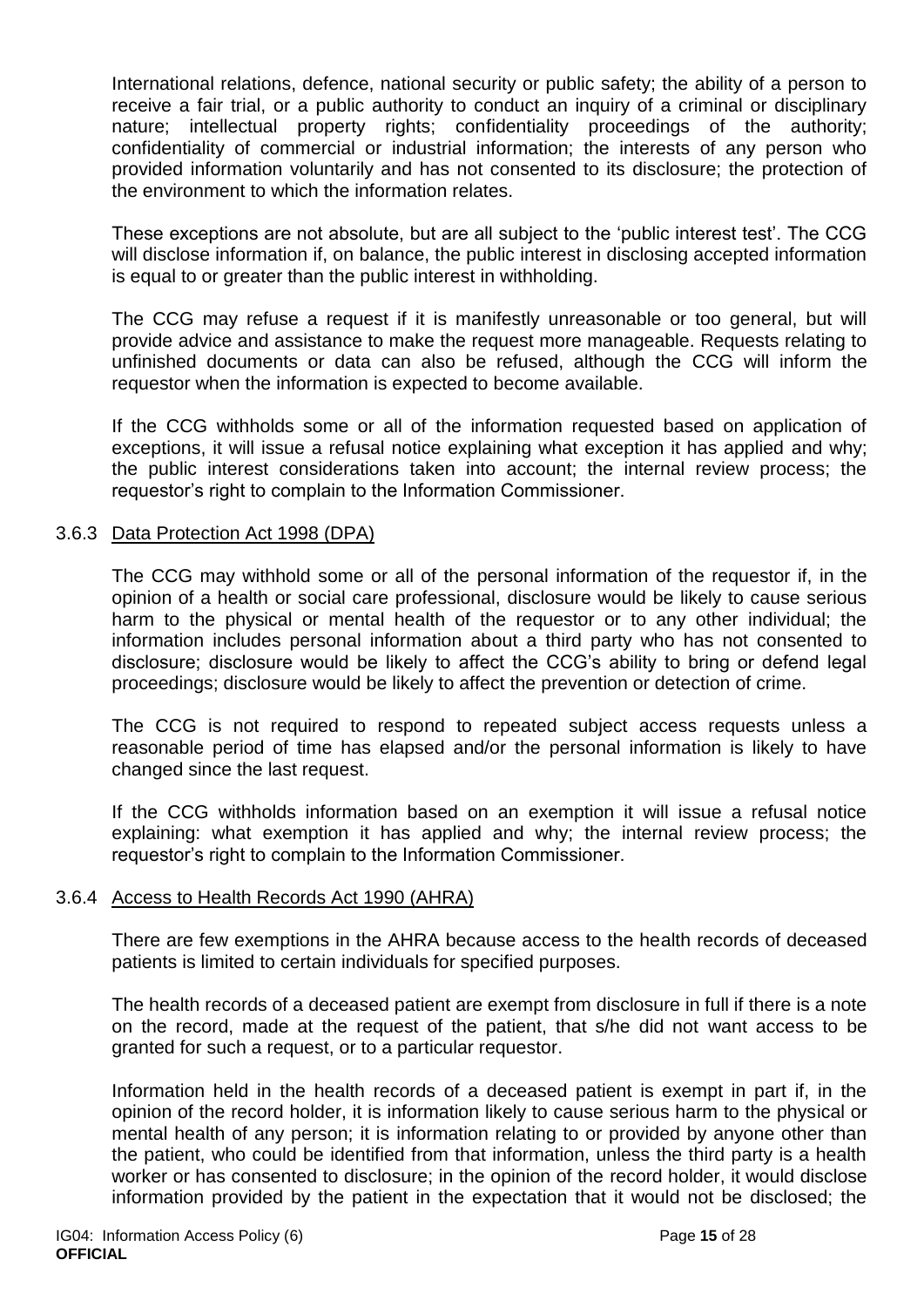International relations, defence, national security or public safety; the ability of a person to receive a fair trial, or a public authority to conduct an inquiry of a criminal or disciplinary nature; intellectual property rights; confidentiality proceedings of the authority; confidentiality of commercial or industrial information; the interests of any person who provided information voluntarily and has not consented to its disclosure; the protection of the environment to which the information relates.

These exceptions are not absolute, but are all subject to the 'public interest test'. The CCG will disclose information if, on balance, the public interest in disclosing accepted information is equal to or greater than the public interest in withholding.

The CCG may refuse a request if it is manifestly unreasonable or too general, but will provide advice and assistance to make the request more manageable. Requests relating to unfinished documents or data can also be refused, although the CCG will inform the requestor when the information is expected to become available.

If the CCG withholds some or all of the information requested based on application of exceptions, it will issue a refusal notice explaining what exception it has applied and why; the public interest considerations taken into account; the internal review process; the requestor's right to complain to the Information Commissioner.

#### 3.6.3 Data Protection Act 1998 (DPA)

The CCG may withhold some or all of the personal information of the requestor if, in the opinion of a health or social care professional, disclosure would be likely to cause serious harm to the physical or mental health of the requestor or to any other individual; the information includes personal information about a third party who has not consented to disclosure; disclosure would be likely to affect the CCG's ability to bring or defend legal proceedings; disclosure would be likely to affect the prevention or detection of crime.

The CCG is not required to respond to repeated subject access requests unless a reasonable period of time has elapsed and/or the personal information is likely to have changed since the last request.

If the CCG withholds information based on an exemption it will issue a refusal notice explaining: what exemption it has applied and why; the internal review process; the requestor's right to complain to the Information Commissioner.

#### 3.6.4 Access to Health Records Act 1990 (AHRA)

There are few exemptions in the AHRA because access to the health records of deceased patients is limited to certain individuals for specified purposes.

The health records of a deceased patient are exempt from disclosure in full if there is a note on the record, made at the request of the patient, that s/he did not want access to be granted for such a request, or to a particular requestor.

Information held in the health records of a deceased patient is exempt in part if, in the opinion of the record holder, it is information likely to cause serious harm to the physical or mental health of any person; it is information relating to or provided by anyone other than the patient, who could be identified from that information, unless the third party is a health worker or has consented to disclosure; in the opinion of the record holder, it would disclose information provided by the patient in the expectation that it would not be disclosed; the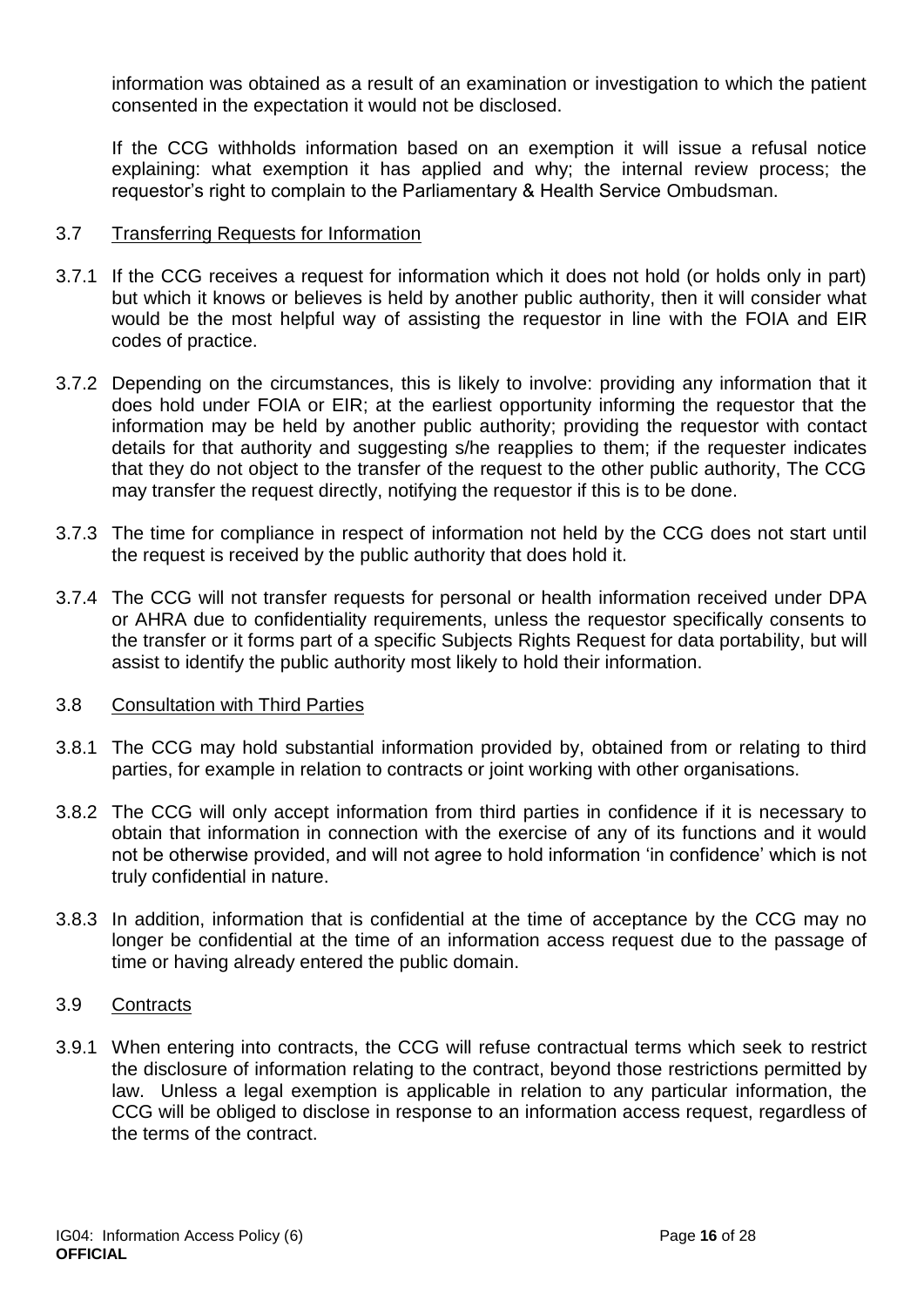information was obtained as a result of an examination or investigation to which the patient consented in the expectation it would not be disclosed.

If the CCG withholds information based on an exemption it will issue a refusal notice explaining: what exemption it has applied and why; the internal review process; the requestor's right to complain to the Parliamentary & Health Service Ombudsman.

#### 3.7 Transferring Requests for Information

- 3.7.1 If the CCG receives a request for information which it does not hold (or holds only in part) but which it knows or believes is held by another public authority, then it will consider what would be the most helpful way of assisting the requestor in line with the FOIA and EIR codes of practice.
- 3.7.2 Depending on the circumstances, this is likely to involve: providing any information that it does hold under FOIA or EIR; at the earliest opportunity informing the requestor that the information may be held by another public authority; providing the requestor with contact details for that authority and suggesting s/he reapplies to them; if the requester indicates that they do not object to the transfer of the request to the other public authority, The CCG may transfer the request directly, notifying the requestor if this is to be done.
- 3.7.3 The time for compliance in respect of information not held by the CCG does not start until the request is received by the public authority that does hold it.
- 3.7.4 The CCG will not transfer requests for personal or health information received under DPA or AHRA due to confidentiality requirements, unless the requestor specifically consents to the transfer or it forms part of a specific Subjects Rights Request for data portability, but will assist to identify the public authority most likely to hold their information.

#### 3.8 Consultation with Third Parties

- 3.8.1 The CCG may hold substantial information provided by, obtained from or relating to third parties, for example in relation to contracts or joint working with other organisations.
- 3.8.2 The CCG will only accept information from third parties in confidence if it is necessary to obtain that information in connection with the exercise of any of its functions and it would not be otherwise provided, and will not agree to hold information 'in confidence' which is not truly confidential in nature.
- 3.8.3 In addition, information that is confidential at the time of acceptance by the CCG may no longer be confidential at the time of an information access request due to the passage of time or having already entered the public domain.

#### 3.9 Contracts

3.9.1 When entering into contracts, the CCG will refuse contractual terms which seek to restrict the disclosure of information relating to the contract, beyond those restrictions permitted by law. Unless a legal exemption is applicable in relation to any particular information, the CCG will be obliged to disclose in response to an information access request, regardless of the terms of the contract.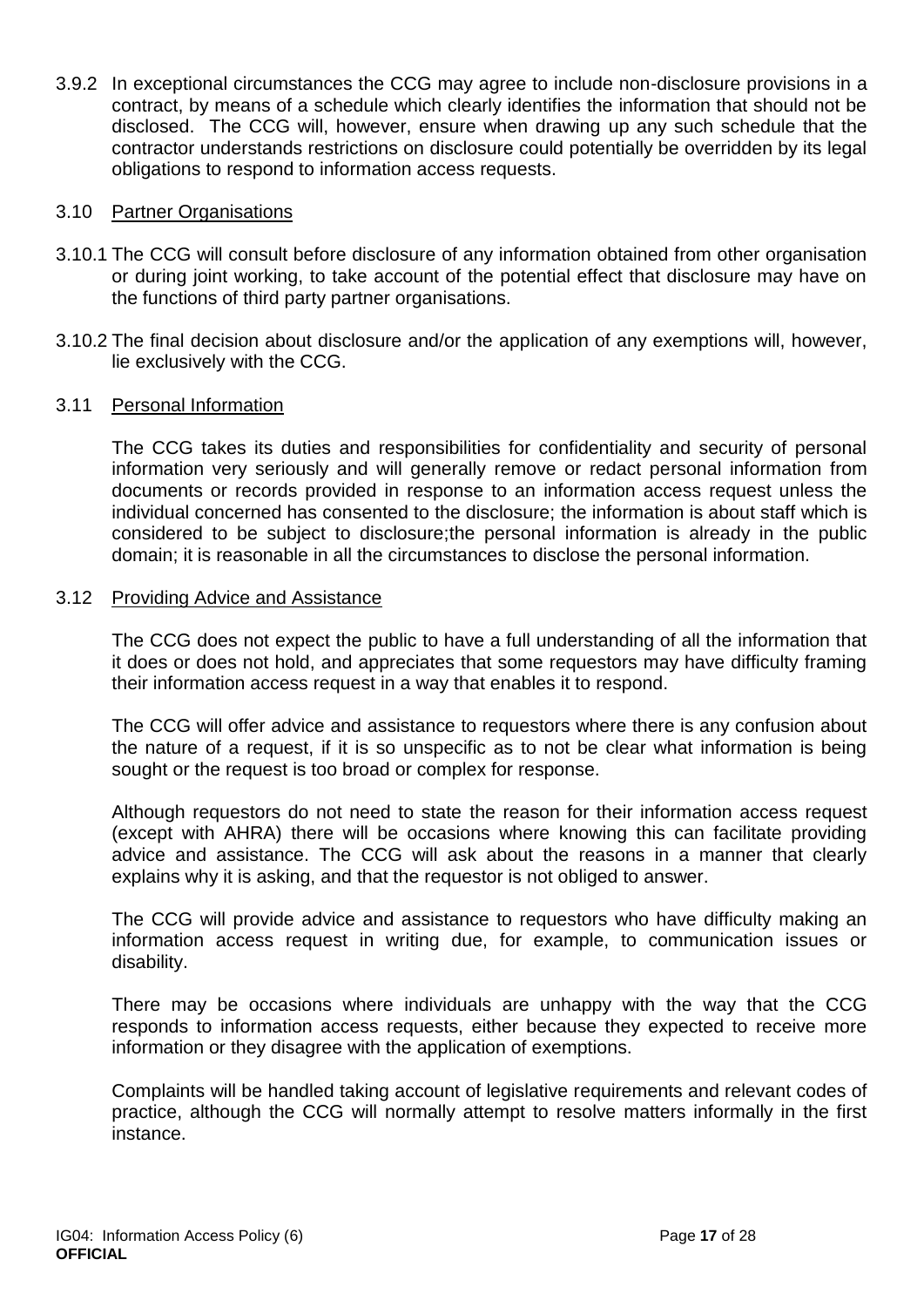3.9.2 In exceptional circumstances the CCG may agree to include non-disclosure provisions in a contract, by means of a schedule which clearly identifies the information that should not be disclosed. The CCG will, however, ensure when drawing up any such schedule that the contractor understands restrictions on disclosure could potentially be overridden by its legal obligations to respond to information access requests.

#### 3.10 Partner Organisations

- 3.10.1 The CCG will consult before disclosure of any information obtained from other organisation or during joint working, to take account of the potential effect that disclosure may have on the functions of third party partner organisations.
- 3.10.2 The final decision about disclosure and/or the application of any exemptions will, however, lie exclusively with the CCG.

#### 3.11 Personal Information

The CCG takes its duties and responsibilities for confidentiality and security of personal information very seriously and will generally remove or redact personal information from documents or records provided in response to an information access request unless the individual concerned has consented to the disclosure; the information is about staff which is considered to be subject to disclosure;the personal information is already in the public domain; it is reasonable in all the circumstances to disclose the personal information.

#### 3.12 Providing Advice and Assistance

The CCG does not expect the public to have a full understanding of all the information that it does or does not hold, and appreciates that some requestors may have difficulty framing their information access request in a way that enables it to respond.

The CCG will offer advice and assistance to requestors where there is any confusion about the nature of a request, if it is so unspecific as to not be clear what information is being sought or the request is too broad or complex for response.

Although requestors do not need to state the reason for their information access request (except with AHRA) there will be occasions where knowing this can facilitate providing advice and assistance. The CCG will ask about the reasons in a manner that clearly explains why it is asking, and that the requestor is not obliged to answer.

The CCG will provide advice and assistance to requestors who have difficulty making an information access request in writing due, for example, to communication issues or disability.

There may be occasions where individuals are unhappy with the way that the CCG responds to information access requests, either because they expected to receive more information or they disagree with the application of exemptions.

Complaints will be handled taking account of legislative requirements and relevant codes of practice, although the CCG will normally attempt to resolve matters informally in the first instance.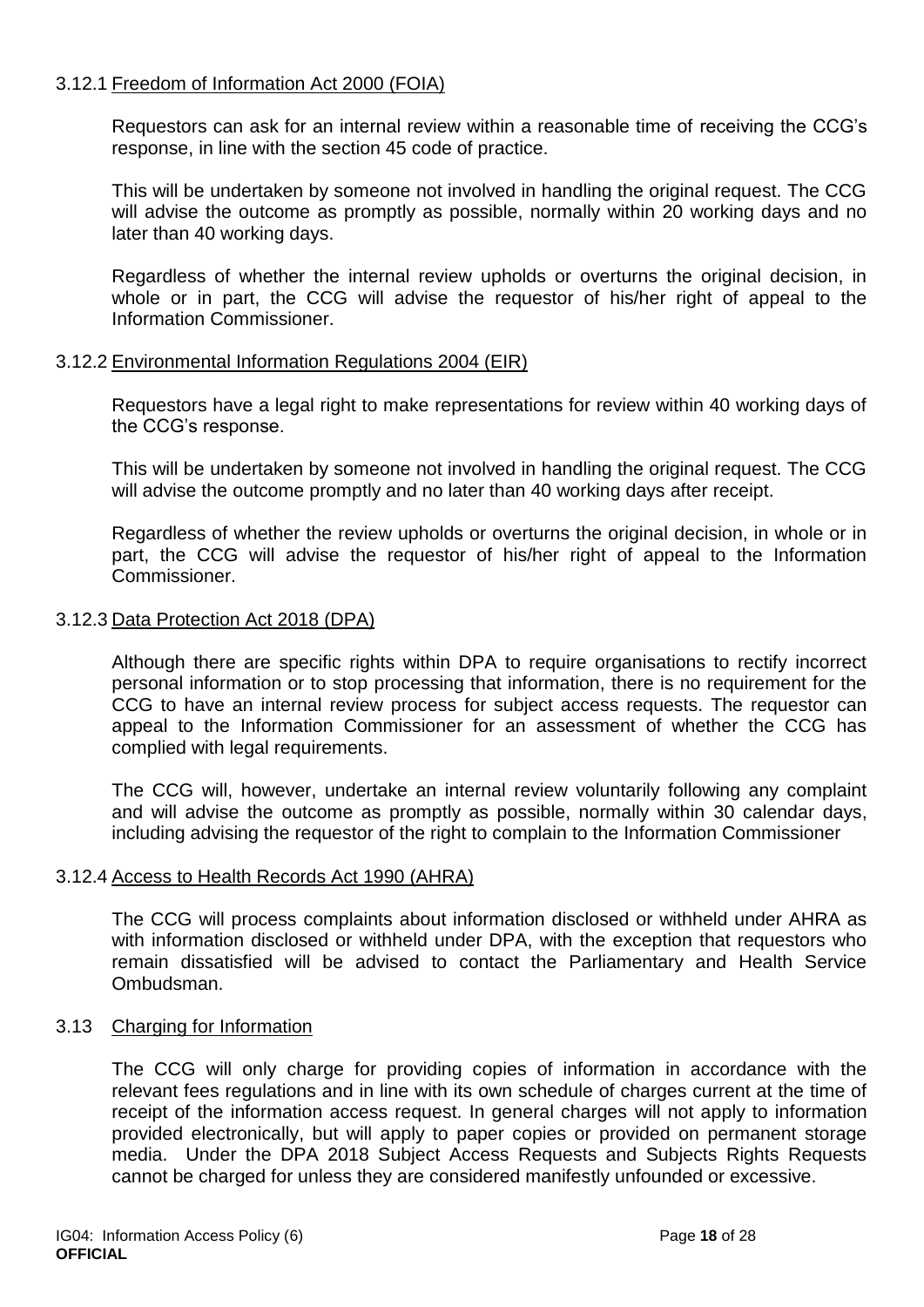#### 3.12.1 Freedom of Information Act 2000 (FOIA)

Requestors can ask for an internal review within a reasonable time of receiving the CCG's response, in line with the section 45 code of practice.

This will be undertaken by someone not involved in handling the original request. The CCG will advise the outcome as promptly as possible, normally within 20 working days and no later than 40 working days.

Regardless of whether the internal review upholds or overturns the original decision, in whole or in part, the CCG will advise the requestor of his/her right of appeal to the Information Commissioner.

#### 3.12.2 Environmental Information Regulations 2004 (EIR)

Requestors have a legal right to make representations for review within 40 working days of the CCG's response.

This will be undertaken by someone not involved in handling the original request. The CCG will advise the outcome promptly and no later than 40 working days after receipt.

Regardless of whether the review upholds or overturns the original decision, in whole or in part, the CCG will advise the requestor of his/her right of appeal to the Information Commissioner.

#### 3.12.3 Data Protection Act 2018 (DPA)

Although there are specific rights within DPA to require organisations to rectify incorrect personal information or to stop processing that information, there is no requirement for the CCG to have an internal review process for subject access requests. The requestor can appeal to the Information Commissioner for an assessment of whether the CCG has complied with legal requirements.

The CCG will, however, undertake an internal review voluntarily following any complaint and will advise the outcome as promptly as possible, normally within 30 calendar days, including advising the requestor of the right to complain to the Information Commissioner

#### 3.12.4 Access to Health Records Act 1990 (AHRA)

The CCG will process complaints about information disclosed or withheld under AHRA as with information disclosed or withheld under DPA, with the exception that requestors who remain dissatisfied will be advised to contact the Parliamentary and Health Service Ombudsman.

#### 3.13 Charging for Information

The CCG will only charge for providing copies of information in accordance with the relevant fees regulations and in line with its own schedule of charges current at the time of receipt of the information access request. In general charges will not apply to information provided electronically, but will apply to paper copies or provided on permanent storage media. Under the DPA 2018 Subject Access Requests and Subjects Rights Requests cannot be charged for unless they are considered manifestly unfounded or excessive.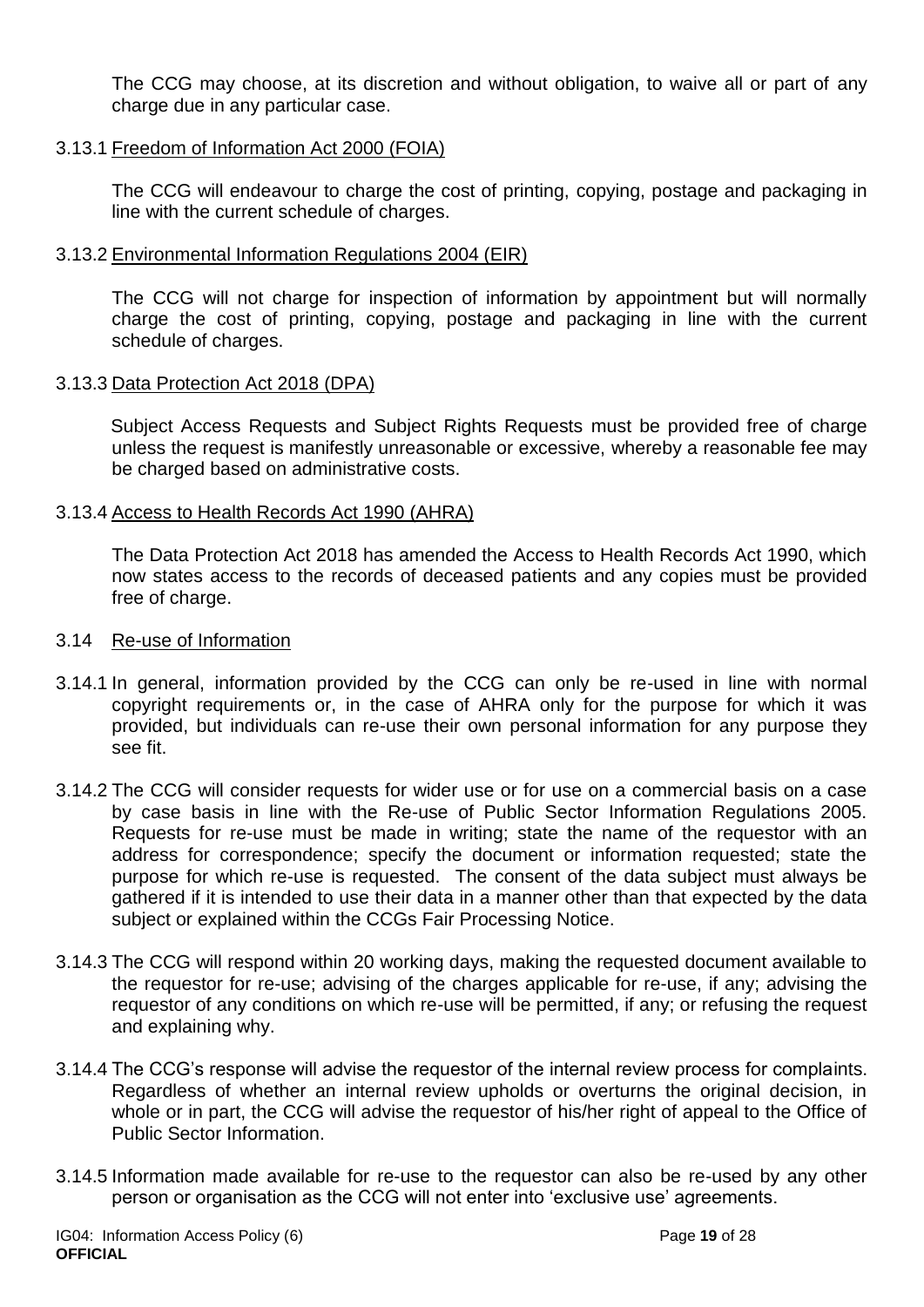The CCG may choose, at its discretion and without obligation, to waive all or part of any charge due in any particular case.

#### 3.13.1 Freedom of Information Act 2000 (FOIA)

The CCG will endeavour to charge the cost of printing, copying, postage and packaging in line with the current schedule of charges.

#### 3.13.2 Environmental Information Regulations 2004 (EIR)

The CCG will not charge for inspection of information by appointment but will normally charge the cost of printing, copying, postage and packaging in line with the current schedule of charges.

#### 3.13.3 Data Protection Act 2018 (DPA)

Subject Access Requests and Subject Rights Requests must be provided free of charge unless the request is manifestly unreasonable or excessive, whereby a reasonable fee may be charged based on administrative costs.

#### 3.13.4 Access to Health Records Act 1990 (AHRA)

The Data Protection Act 2018 has amended the Access to Health Records Act 1990, which now states access to the records of deceased patients and any copies must be provided free of charge.

#### 3.14 Re-use of Information

- 3.14.1 In general, information provided by the CCG can only be re-used in line with normal copyright requirements or, in the case of AHRA only for the purpose for which it was provided, but individuals can re-use their own personal information for any purpose they see fit.
- 3.14.2 The CCG will consider requests for wider use or for use on a commercial basis on a case by case basis in line with the Re-use of Public Sector Information Regulations 2005. Requests for re-use must be made in writing; state the name of the requestor with an address for correspondence; specify the document or information requested; state the purpose for which re-use is requested. The consent of the data subject must always be gathered if it is intended to use their data in a manner other than that expected by the data subject or explained within the CCGs Fair Processing Notice.
- 3.14.3 The CCG will respond within 20 working days, making the requested document available to the requestor for re-use; advising of the charges applicable for re-use, if any; advising the requestor of any conditions on which re-use will be permitted, if any; or refusing the request and explaining why.
- 3.14.4 The CCG's response will advise the requestor of the internal review process for complaints. Regardless of whether an internal review upholds or overturns the original decision, in whole or in part, the CCG will advise the requestor of his/her right of appeal to the Office of Public Sector Information.
- 3.14.5 Information made available for re-use to the requestor can also be re-used by any other person or organisation as the CCG will not enter into 'exclusive use' agreements.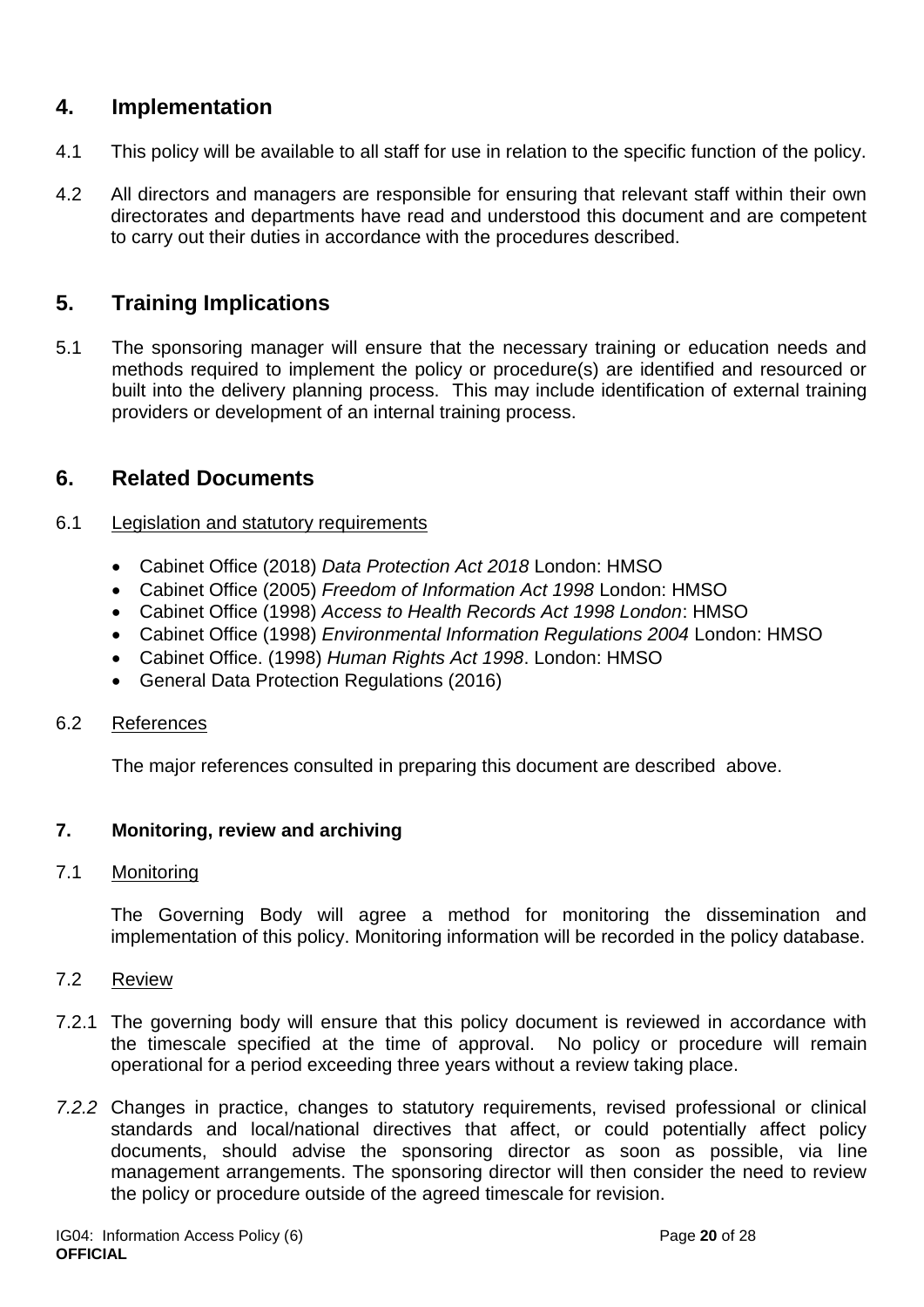### <span id="page-19-0"></span>**4. Implementation**

- 4.1 This policy will be available to all staff for use in relation to the specific function of the policy.
- 4.2 All directors and managers are responsible for ensuring that relevant staff within their own directorates and departments have read and understood this document and are competent to carry out their duties in accordance with the procedures described.

### <span id="page-19-1"></span>**5. Training Implications**

5.1 The sponsoring manager will ensure that the necessary training or education needs and methods required to implement the policy or procedure(s) are identified and resourced or built into the delivery planning process. This may include identification of external training providers or development of an internal training process.

### <span id="page-19-2"></span>**6. Related Documents**

#### 6.1 Legislation and statutory requirements

- Cabinet Office (2018) *Data Protection Act 2018* London: HMSO
- Cabinet Office (2005) *Freedom of Information Act 1998* London: HMSO
- Cabinet Office (1998) *Access to Health Records Act 1998 London*: HMSO
- Cabinet Office (1998) *Environmental Information Regulations 2004* London: HMSO
- Cabinet Office. (1998) *Human Rights Act 1998*. London: HMSO
- General Data Protection Regulations (2016)

#### 6.2 References

The major references consulted in preparing this document are described above.

#### <span id="page-19-3"></span>**7. Monitoring, review and archiving**

#### 7.1 Monitoring

The Governing Body will agree a method for monitoring the dissemination and implementation of this policy. Monitoring information will be recorded in the policy database.

- 7.2 Review
- 7.2.1 The governing body will ensure that this policy document is reviewed in accordance with the timescale specified at the time of approval. No policy or procedure will remain operational for a period exceeding three years without a review taking place.
- *7.2.2* Changes in practice, changes to statutory requirements, revised professional or clinical standards and local/national directives that affect, or could potentially affect policy documents, should advise the sponsoring director as soon as possible, via line management arrangements. The sponsoring director will then consider the need to review the policy or procedure outside of the agreed timescale for revision.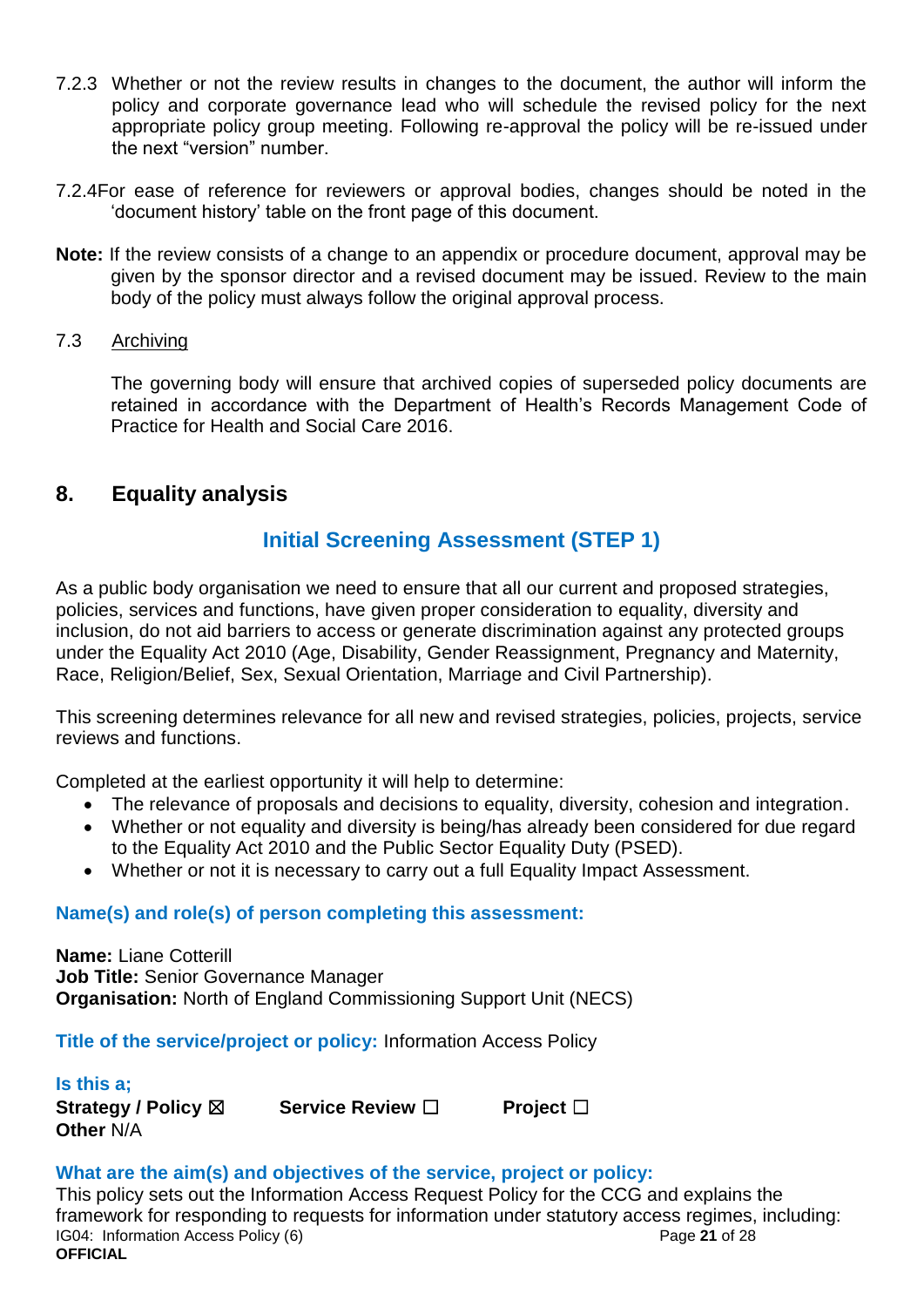- 7.2.3 Whether or not the review results in changes to the document, the author will inform the policy and corporate governance lead who will schedule the revised policy for the next appropriate policy group meeting. Following re-approval the policy will be re-issued under the next "version" number.
- 7.2.4For ease of reference for reviewers or approval bodies, changes should be noted in the 'document history' table on the front page of this document.
- **Note:** If the review consists of a change to an appendix or procedure document, approval may be given by the sponsor director and a revised document may be issued. Review to the main body of the policy must always follow the original approval process.
- 7.3 Archiving

The governing body will ensure that archived copies of superseded policy documents are retained in accordance with the Department of Health's Records Management Code of Practice for Health and Social Care 2016.

### <span id="page-20-0"></span>**8. Equality analysis**

### **Initial Screening Assessment (STEP 1)**

As a public body organisation we need to ensure that all our current and proposed strategies, policies, services and functions, have given proper consideration to equality, diversity and inclusion, do not aid barriers to access or generate discrimination against any protected groups under the Equality Act 2010 (Age, Disability, Gender Reassignment, Pregnancy and Maternity, Race, Religion/Belief, Sex, Sexual Orientation, Marriage and Civil Partnership).

This screening determines relevance for all new and revised strategies, policies, projects, service reviews and functions.

Completed at the earliest opportunity it will help to determine:

- The relevance of proposals and decisions to equality, diversity, cohesion and integration.
- Whether or not equality and diversity is being/has already been considered for due regard to the Equality Act 2010 and the Public Sector Equality Duty (PSED).
- Whether or not it is necessary to carry out a full Equality Impact Assessment.

#### **Name(s) and role(s) of person completing this assessment:**

**Name:** Liane Cotterill **Job Title:** Senior Governance Manager **Organisation:** North of England Commissioning Support Unit (NECS)

**Title of the service/project or policy:** Information Access Policy

**Is this a; Other** N/A

**Strategy / Policy** ☒ **Service Review** ☐ **Project** ☐

#### **What are the aim(s) and objectives of the service, project or policy:**

IG04: Information Access Policy (6) **Page 21** of 28 **OFFICIAL** This policy sets out the Information Access Request Policy for the CCG and explains the framework for responding to requests for information under statutory access regimes, including: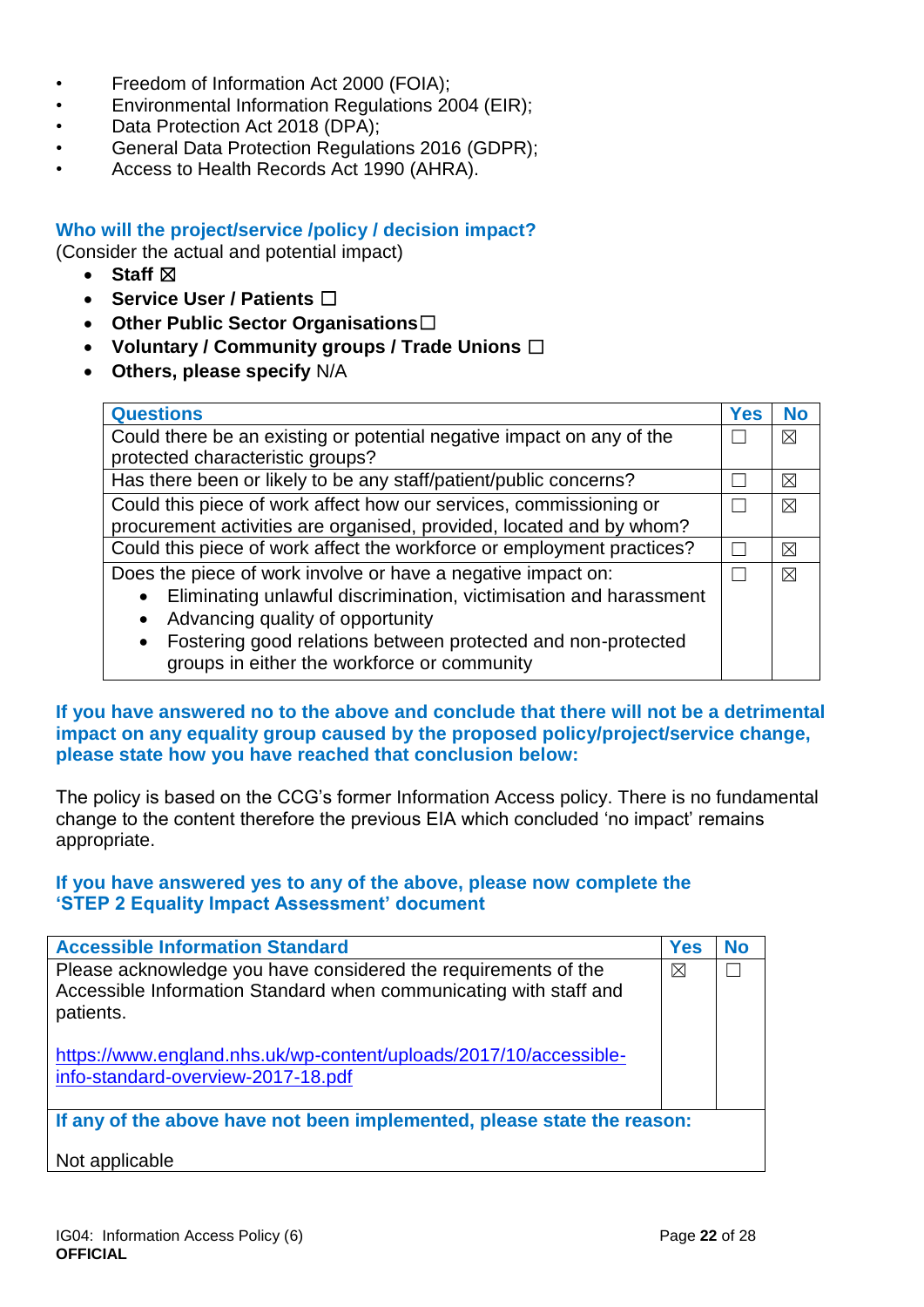- Freedom of Information Act 2000 (FOIA);
- Environmental Information Regulations 2004 (EIR);
- Data Protection Act 2018 (DPA);
- General Data Protection Regulations 2016 (GDPR);
- Access to Health Records Act 1990 (AHRA).

#### **Who will the project/service /policy / decision impact?**

(Consider the actual and potential impact)

- Staff  $⊠$
- **Service User / Patients** ☐
- **Other Public Sector Organisations**☐
- **Voluntary / Community groups / Trade Unions** ☐
- **Others, please specify** N/A

| <b>Questions</b>                                                       | <b>Yes</b> | No          |
|------------------------------------------------------------------------|------------|-------------|
| Could there be an existing or potential negative impact on any of the  |            | $\boxtimes$ |
| protected characteristic groups?                                       |            |             |
| Has there been or likely to be any staff/patient/public concerns?      |            | ⊠           |
| Could this piece of work affect how our services, commissioning or     |            | $\boxtimes$ |
| procurement activities are organised, provided, located and by whom?   |            |             |
| Could this piece of work affect the workforce or employment practices? |            | $\boxtimes$ |
| Does the piece of work involve or have a negative impact on:           |            | $\boxtimes$ |
| Eliminating unlawful discrimination, victimisation and harassment      |            |             |
| Advancing quality of opportunity                                       |            |             |
| • Fostering good relations between protected and non-protected         |            |             |
| groups in either the workforce or community                            |            |             |

#### **If you have answered no to the above and conclude that there will not be a detrimental impact on any equality group caused by the proposed policy/project/service change, please state how you have reached that conclusion below:**

The policy is based on the CCG's former Information Access policy. There is no fundamental change to the content therefore the previous EIA which concluded 'no impact' remains appropriate.

#### **If you have answered yes to any of the above, please now complete the 'STEP 2 Equality Impact Assessment' document**

| <b>Accessible Information Standard</b>                                                                                                           | <b>Yes</b>  | No |
|--------------------------------------------------------------------------------------------------------------------------------------------------|-------------|----|
| Please acknowledge you have considered the requirements of the<br>Accessible Information Standard when communicating with staff and<br>patients. | $\boxtimes$ |    |
| https://www.england.nhs.uk/wp-content/uploads/2017/10/accessible-<br>info-standard-overview-2017-18.pdf                                          |             |    |
| If any of the above have not been implemented, please state the reason:                                                                          |             |    |
| Not applicable                                                                                                                                   |             |    |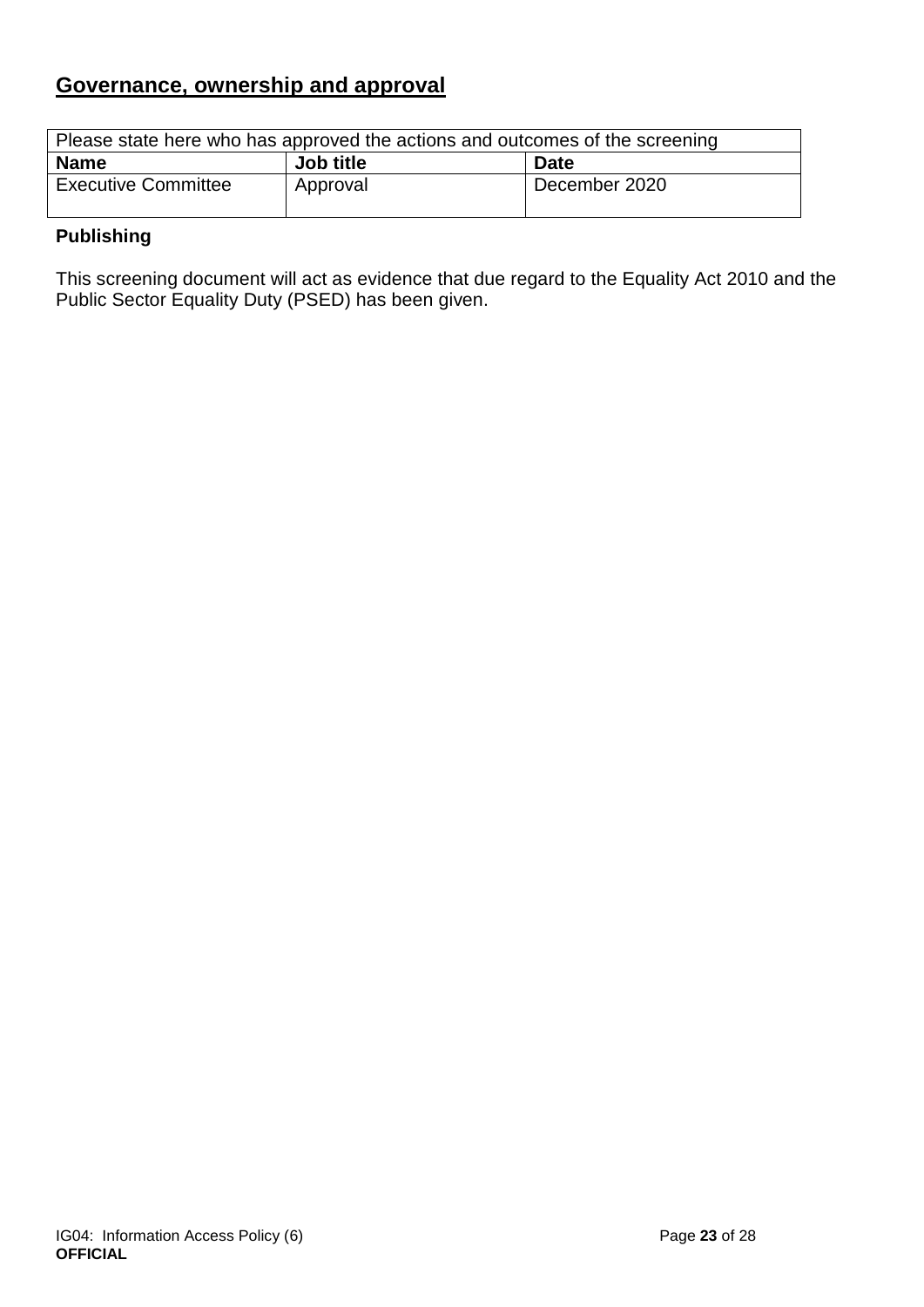## **Governance, ownership and approval**

| Please state here who has approved the actions and outcomes of the screening |           |               |
|------------------------------------------------------------------------------|-----------|---------------|
| <b>Name</b>                                                                  | Job title | <b>Date</b>   |
| <b>Executive Committee</b>                                                   | Approval  | December 2020 |

### **Publishing**

This screening document will act as evidence that due regard to the Equality Act 2010 and the Public Sector Equality Duty (PSED) has been given.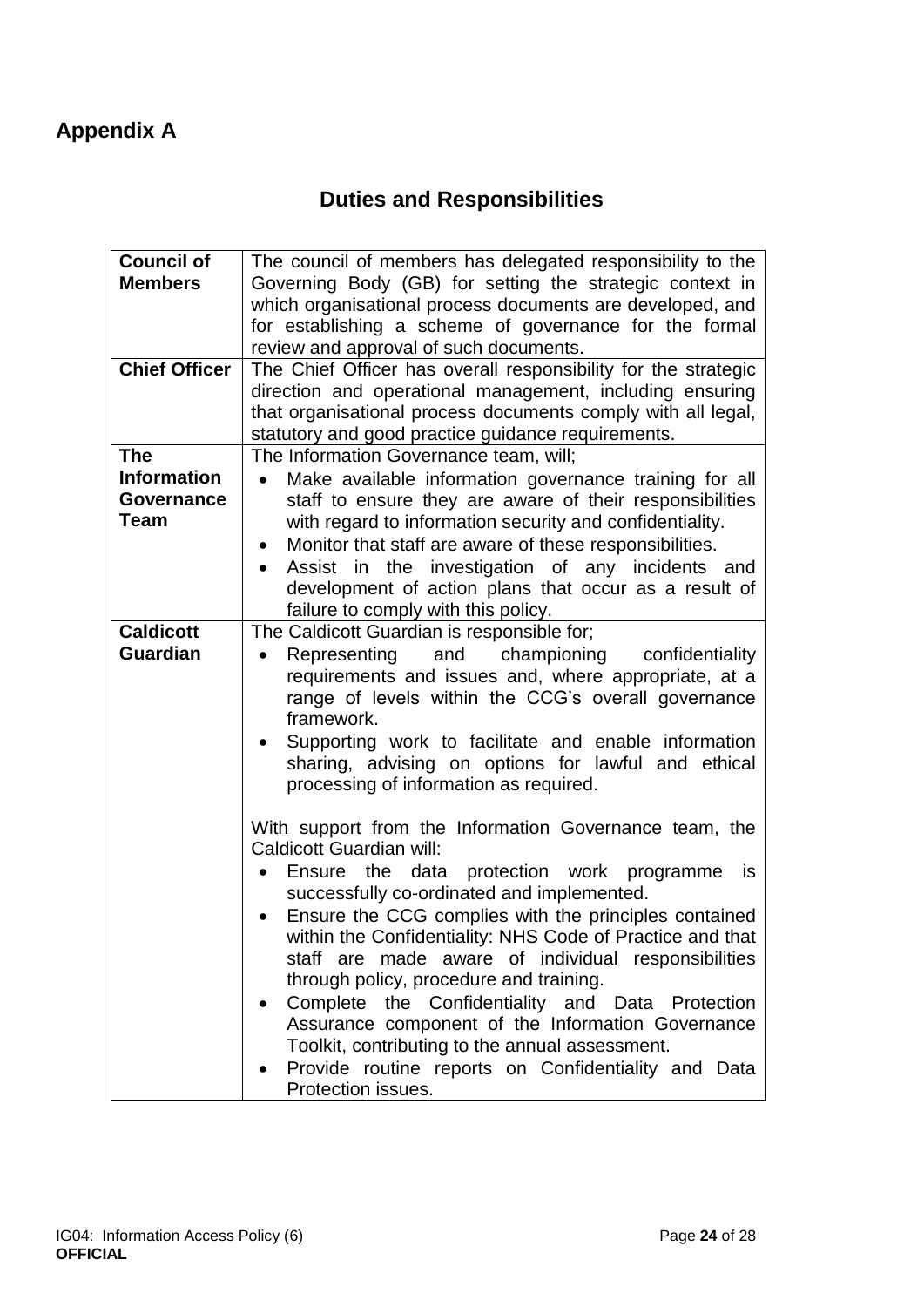# **Duties and Responsibilities**

<span id="page-23-1"></span><span id="page-23-0"></span>

| Governing Body (GB) for setting the strategic context in<br><b>Members</b><br>which organisational process documents are developed, and<br>for establishing a scheme of governance for the formal<br>review and approval of such documents. |
|---------------------------------------------------------------------------------------------------------------------------------------------------------------------------------------------------------------------------------------------|
|                                                                                                                                                                                                                                             |
|                                                                                                                                                                                                                                             |
|                                                                                                                                                                                                                                             |
|                                                                                                                                                                                                                                             |
| <b>Chief Officer</b><br>The Chief Officer has overall responsibility for the strategic                                                                                                                                                      |
| direction and operational management, including ensuring                                                                                                                                                                                    |
| that organisational process documents comply with all legal,                                                                                                                                                                                |
| statutory and good practice guidance requirements.                                                                                                                                                                                          |
| <b>The</b><br>The Information Governance team, will;                                                                                                                                                                                        |
| <b>Information</b><br>Make available information governance training for all<br>$\bullet$                                                                                                                                                   |
| staff to ensure they are aware of their responsibilities<br><b>Governance</b>                                                                                                                                                               |
| Team<br>with regard to information security and confidentiality.                                                                                                                                                                            |
| Monitor that staff are aware of these responsibilities.<br>$\bullet$                                                                                                                                                                        |
| Assist in the investigation of any incidents and<br>$\bullet$                                                                                                                                                                               |
| development of action plans that occur as a result of                                                                                                                                                                                       |
| failure to comply with this policy.                                                                                                                                                                                                         |
| <b>Caldicott</b><br>The Caldicott Guardian is responsible for;                                                                                                                                                                              |
| <b>Guardian</b><br>Representing<br>and championing<br>confidentiality<br>$\bullet$                                                                                                                                                          |
| requirements and issues and, where appropriate, at a                                                                                                                                                                                        |
| range of levels within the CCG's overall governance                                                                                                                                                                                         |
| framework.                                                                                                                                                                                                                                  |
| Supporting work to facilitate and enable information                                                                                                                                                                                        |
| sharing, advising on options for lawful and ethical                                                                                                                                                                                         |
| processing of information as required.                                                                                                                                                                                                      |
|                                                                                                                                                                                                                                             |
| With support from the Information Governance team, the                                                                                                                                                                                      |
| Caldicott Guardian will:                                                                                                                                                                                                                    |
| Ensure the data protection work programme<br>is<br>$\bullet$                                                                                                                                                                                |
| successfully co-ordinated and implemented.                                                                                                                                                                                                  |
| Ensure the CCG complies with the principles contained                                                                                                                                                                                       |
| within the Confidentiality: NHS Code of Practice and that                                                                                                                                                                                   |
| staff are made aware of individual responsibilities                                                                                                                                                                                         |
| through policy, procedure and training.                                                                                                                                                                                                     |
| Complete the Confidentiality and Data Protection                                                                                                                                                                                            |
| Assurance component of the Information Governance                                                                                                                                                                                           |
| Toolkit, contributing to the annual assessment.                                                                                                                                                                                             |
| Provide routine reports on Confidentiality and Data                                                                                                                                                                                         |
| Protection issues.                                                                                                                                                                                                                          |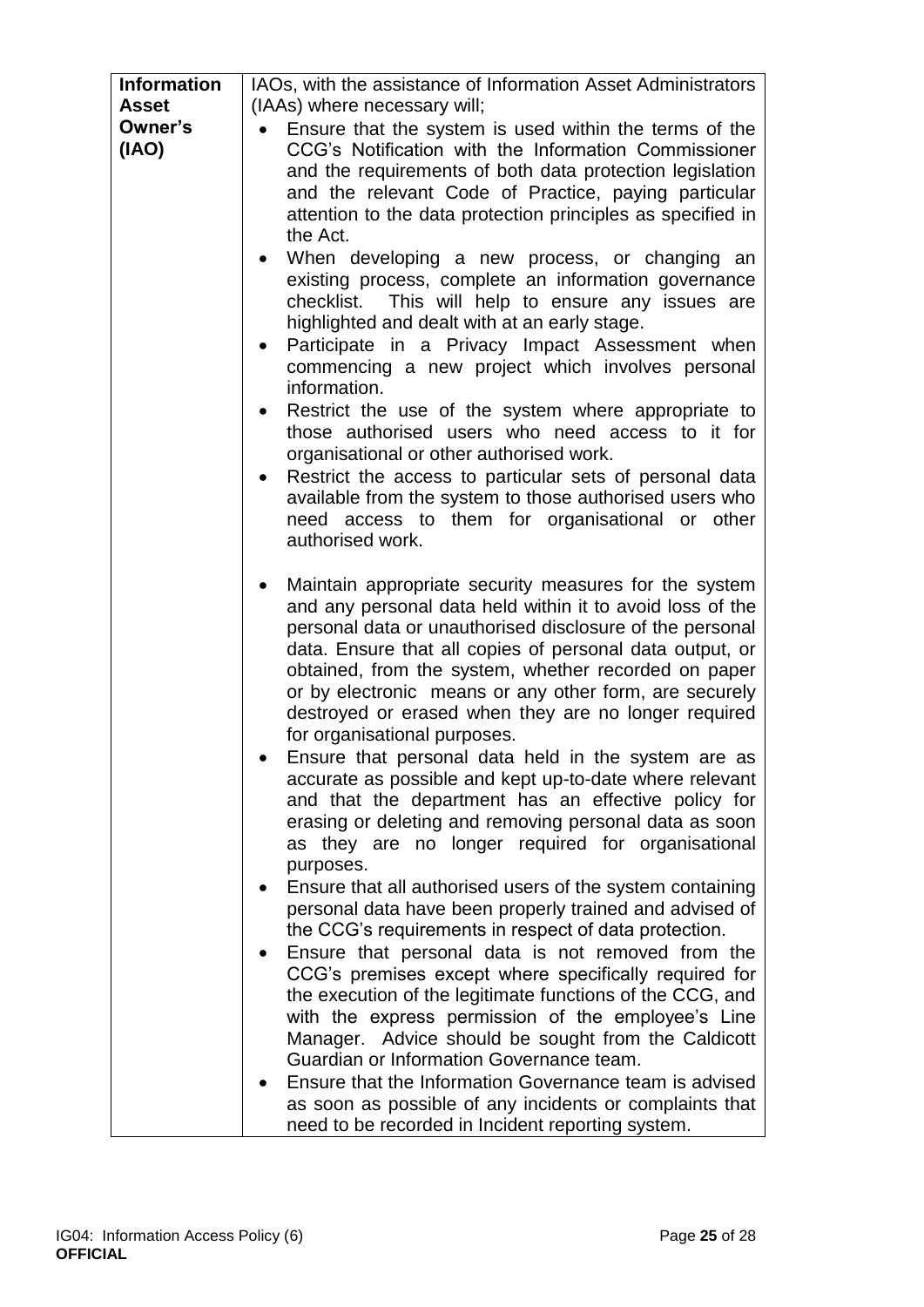| <b>Information</b> | IAOs, with the assistance of Information Asset Administrators                                                                                                                                                                                                                                                                                                                                                                                        |
|--------------------|------------------------------------------------------------------------------------------------------------------------------------------------------------------------------------------------------------------------------------------------------------------------------------------------------------------------------------------------------------------------------------------------------------------------------------------------------|
| <b>Asset</b>       | (IAAs) where necessary will;                                                                                                                                                                                                                                                                                                                                                                                                                         |
| Owner's            | Ensure that the system is used within the terms of the                                                                                                                                                                                                                                                                                                                                                                                               |
| (IAO)              | CCG's Notification with the Information Commissioner<br>and the requirements of both data protection legislation<br>and the relevant Code of Practice, paying particular<br>attention to the data protection principles as specified in<br>the Act.                                                                                                                                                                                                  |
|                    | When developing a new process, or changing an<br>existing process, complete an information governance<br>checklist. This will help to ensure any issues are<br>highlighted and dealt with at an early stage.                                                                                                                                                                                                                                         |
|                    | Participate in a Privacy Impact Assessment when<br>$\bullet$<br>commencing a new project which involves personal<br>information.                                                                                                                                                                                                                                                                                                                     |
|                    | Restrict the use of the system where appropriate to<br>$\bullet$<br>those authorised users who need access to it for<br>organisational or other authorised work.                                                                                                                                                                                                                                                                                     |
|                    | Restrict the access to particular sets of personal data<br>$\bullet$<br>available from the system to those authorised users who<br>need access to them for organisational or other<br>authorised work.                                                                                                                                                                                                                                               |
|                    | Maintain appropriate security measures for the system<br>and any personal data held within it to avoid loss of the<br>personal data or unauthorised disclosure of the personal<br>data. Ensure that all copies of personal data output, or<br>obtained, from the system, whether recorded on paper<br>or by electronic means or any other form, are securely<br>destroyed or erased when they are no longer required<br>for organisational purposes. |
|                    | Ensure that personal data held in the system are as<br>accurate as possible and kept up-to-date where relevant<br>and that the department has an effective policy for<br>erasing or deleting and removing personal data as soon<br>as they are no longer required for organisational<br>purposes.                                                                                                                                                    |
|                    | Ensure that all authorised users of the system containing<br>personal data have been properly trained and advised of<br>the CCG's requirements in respect of data protection.                                                                                                                                                                                                                                                                        |
|                    | Ensure that personal data is not removed from the<br>$\bullet$<br>CCG's premises except where specifically required for<br>the execution of the legitimate functions of the CCG, and<br>with the express permission of the employee's Line<br>Manager. Advice should be sought from the Caldicott<br>Guardian or Information Governance team.                                                                                                        |
|                    | Ensure that the Information Governance team is advised<br>as soon as possible of any incidents or complaints that<br>need to be recorded in Incident reporting system.                                                                                                                                                                                                                                                                               |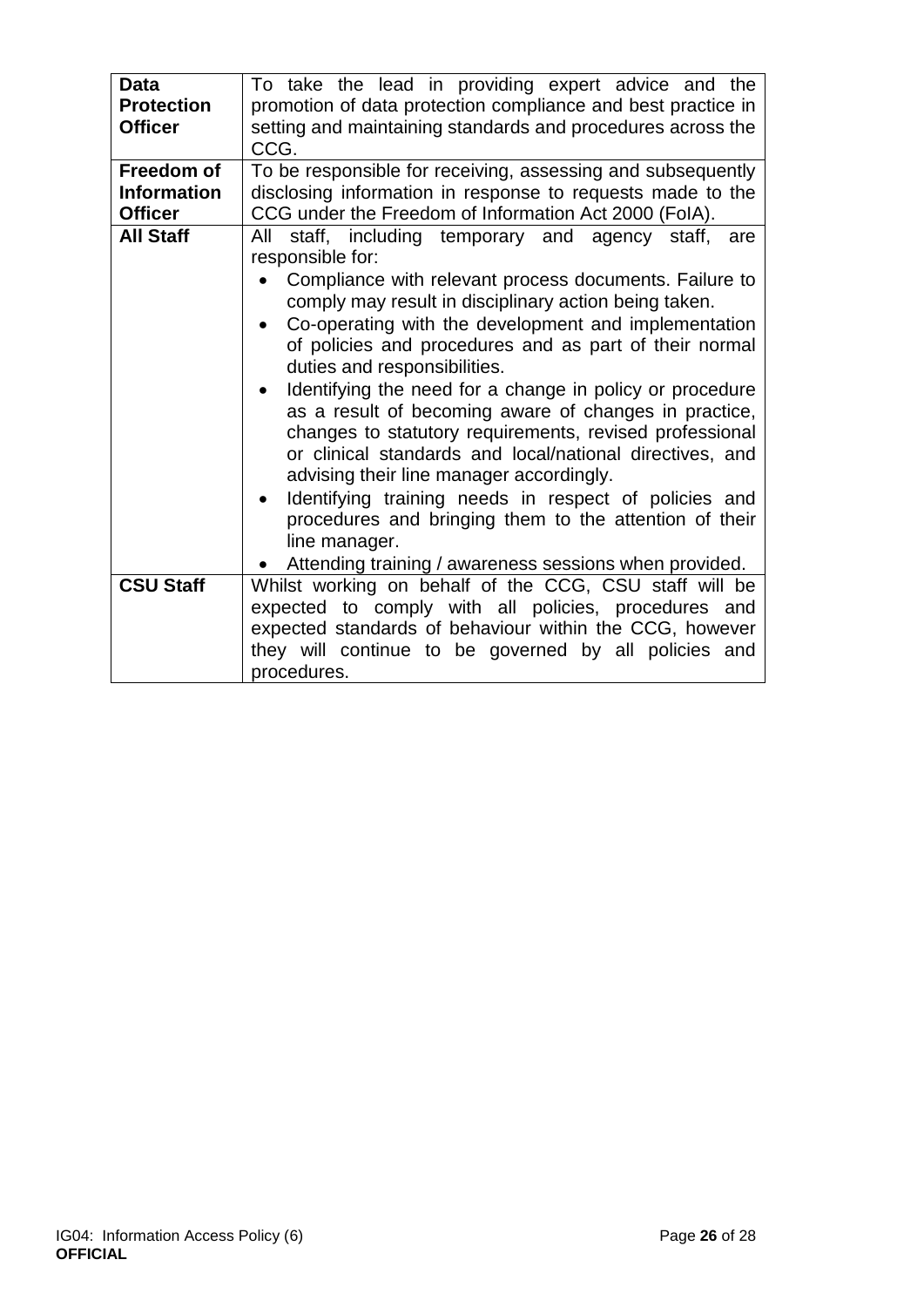| <b>Data</b>        | To take the lead in providing expert advice and the                |
|--------------------|--------------------------------------------------------------------|
| <b>Protection</b>  | promotion of data protection compliance and best practice in       |
| <b>Officer</b>     | setting and maintaining standards and procedures across the        |
|                    | CCG.                                                               |
| <b>Freedom of</b>  | To be responsible for receiving, assessing and subsequently        |
| <b>Information</b> | disclosing information in response to requests made to the         |
| <b>Officer</b>     | CCG under the Freedom of Information Act 2000 (FoIA).              |
| <b>All Staff</b>   | staff, including temporary and agency staff,<br>All<br>are         |
|                    | responsible for:                                                   |
|                    | Compliance with relevant process documents. Failure to             |
|                    | comply may result in disciplinary action being taken.              |
|                    | Co-operating with the development and implementation               |
|                    | of policies and procedures and as part of their normal             |
|                    | duties and responsibilities.                                       |
|                    |                                                                    |
|                    | Identifying the need for a change in policy or procedure           |
|                    | as a result of becoming aware of changes in practice,              |
|                    | changes to statutory requirements, revised professional            |
|                    | or clinical standards and local/national directives, and           |
|                    | advising their line manager accordingly.                           |
|                    | Identifying training needs in respect of policies and<br>$\bullet$ |
|                    | procedures and bringing them to the attention of their             |
|                    | line manager.                                                      |
|                    | Attending training / awareness sessions when provided.             |
| <b>CSU Staff</b>   | Whilst working on behalf of the CCG, CSU staff will be             |
|                    |                                                                    |
|                    | expected to comply with all policies, procedures and               |
|                    | expected standards of behaviour within the CCG, however            |
|                    | they will continue to be governed by all policies and              |
|                    | procedures.                                                        |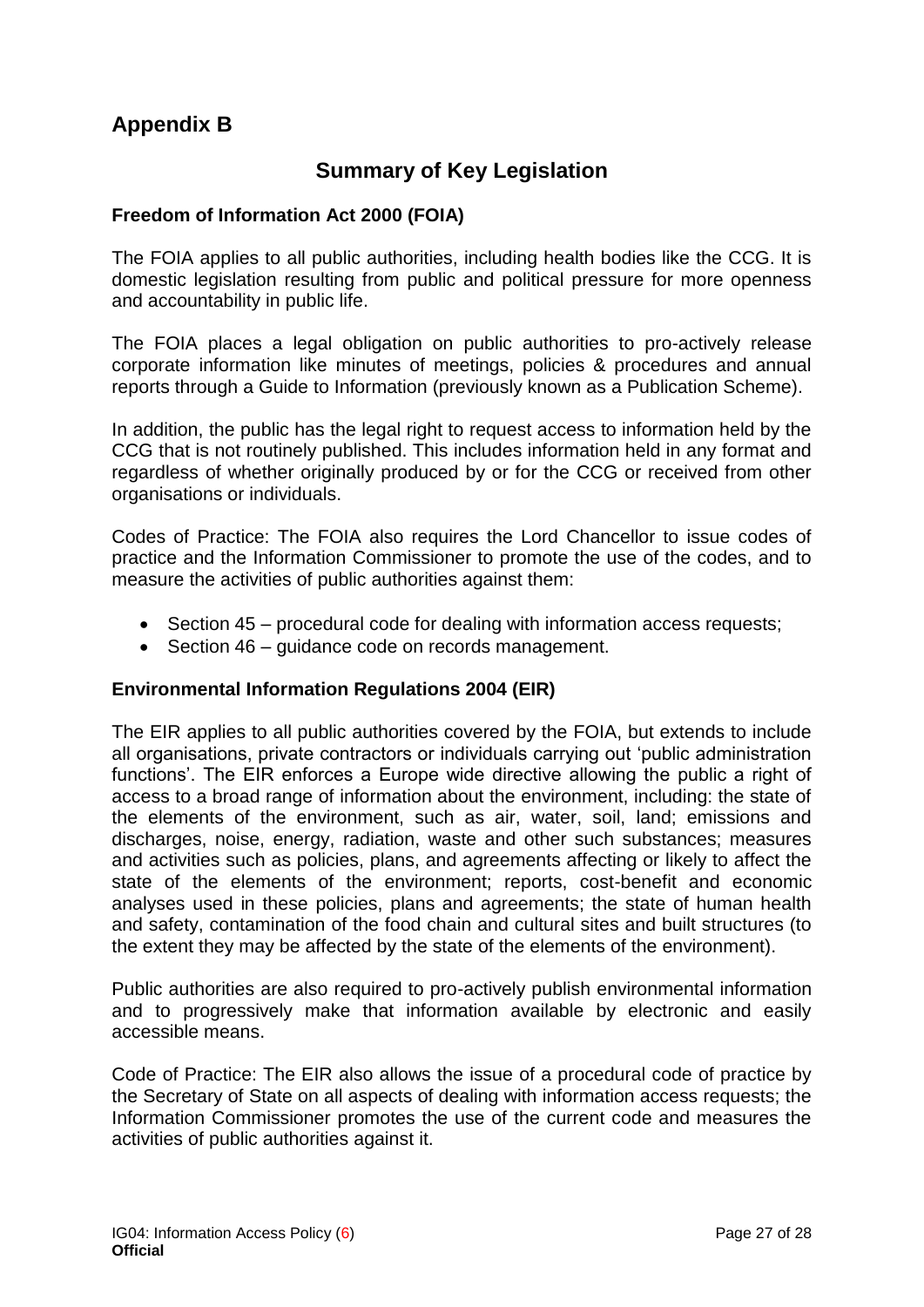### <span id="page-26-1"></span><span id="page-26-0"></span>**Appendix B**

### **Summary of Key Legislation**

#### **Freedom of Information Act 2000 (FOIA)**

The FOIA applies to all public authorities, including health bodies like the CCG. It is domestic legislation resulting from public and political pressure for more openness and accountability in public life.

The FOIA places a legal obligation on public authorities to pro-actively release corporate information like minutes of meetings, policies & procedures and annual reports through a Guide to Information (previously known as a Publication Scheme).

In addition, the public has the legal right to request access to information held by the CCG that is not routinely published. This includes information held in any format and regardless of whether originally produced by or for the CCG or received from other organisations or individuals.

Codes of Practice: The FOIA also requires the Lord Chancellor to issue codes of practice and the Information Commissioner to promote the use of the codes, and to measure the activities of public authorities against them:

- Section 45 procedural code for dealing with information access requests:
- Section 46 quidance code on records management.

#### **Environmental Information Regulations 2004 (EIR)**

The EIR applies to all public authorities covered by the FOIA, but extends to include all organisations, private contractors or individuals carrying out 'public administration functions'. The EIR enforces a Europe wide directive allowing the public a right of access to a broad range of information about the environment, including: the state of the elements of the environment, such as air, water, soil, land; emissions and discharges, noise, energy, radiation, waste and other such substances; measures and activities such as policies, plans, and agreements affecting or likely to affect the state of the elements of the environment; reports, cost-benefit and economic analyses used in these policies, plans and agreements; the state of human health and safety, contamination of the food chain and cultural sites and built structures (to the extent they may be affected by the state of the elements of the environment).

Public authorities are also required to pro-actively publish environmental information and to progressively make that information available by electronic and easily accessible means.

Code of Practice: The EIR also allows the issue of a procedural code of practice by the Secretary of State on all aspects of dealing with information access requests; the Information Commissioner promotes the use of the current code and measures the activities of public authorities against it.